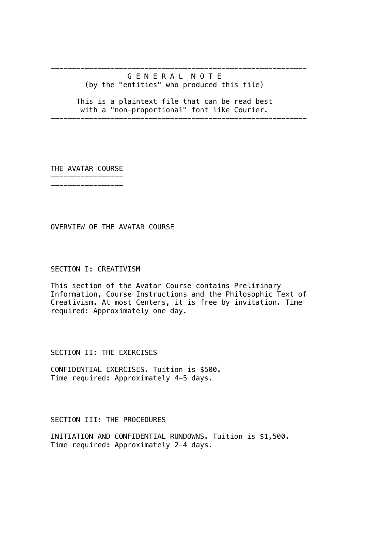# G E N E R A L N O T E (by the "entities" who produced this file)

------------------------------------------------------------

 This is a plaintext file that can be read best with a "non-proportional" font like Courier.

------------------------------------------------------------

THE AVATAR COURSE

----------------- -----------------

OVERVIEW OF THE AVATAR COURSE

## SECTION I: CREATIVISM

This section of the Avatar Course contains Preliminary Information, Course Instructions and the Philosophic Text of Creativism. At most Centers, it is free by invitation. Time required: Approximately one day.

SECTION II: THE EXERCISES

CONFIDENTIAL EXERCISES. Tuition is \$500. Time required: Approximately 4-5 days.

SECTION III: THE PROCEDURES

INITIATION AND CONFIDENTIAL RUNDOWNS. Tuition is \$1,500. Time required: Approximately 2-4 days.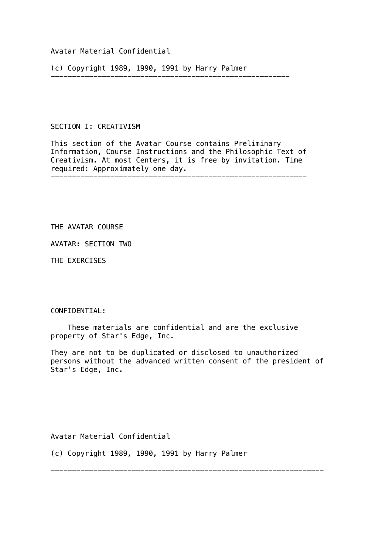## Avatar Material Confidential

(c) Copyright 1989, 1990, 1991 by Harry Palmer

--------------------------------------------------------

## SECTION I: CREATIVISM

This section of the Avatar Course contains Preliminary Information, Course Instructions and the Philosophic Text of Creativism. At most Centers, it is free by invitation. Time required: Approximately one day.

## THE AVATAR COURSE

AVATAR: SECTION TWO

THE EXERCISES

#### CONFIDENTIAL:

 These materials are confidential and are the exclusive property of Star's Edge, Inc.

They are not to be duplicated or disclosed to unauthorized persons without the advanced written consent of the president of Star's Edge, Inc.

----------------------------------------------------------------

Avatar Material Confidential

(c) Copyright 1989, 1990, 1991 by Harry Palmer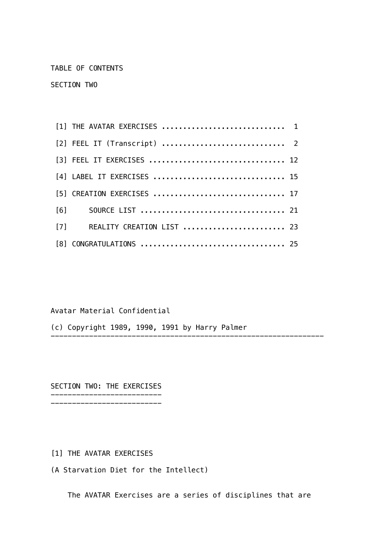TABLE OF CONTENTS

SECTION TWO

| [1] THE AVATAR EXERCISES  1   |  |  |  |  |  |  |  |  |  |  |  |
|-------------------------------|--|--|--|--|--|--|--|--|--|--|--|
| [2] FEEL IT (Transcript)  2   |  |  |  |  |  |  |  |  |  |  |  |
|                               |  |  |  |  |  |  |  |  |  |  |  |
| [4] LABEL IT EXERCISES  15    |  |  |  |  |  |  |  |  |  |  |  |
| [5] CREATION EXERCISES  17    |  |  |  |  |  |  |  |  |  |  |  |
|                               |  |  |  |  |  |  |  |  |  |  |  |
| [7] REALITY CREATION LIST  23 |  |  |  |  |  |  |  |  |  |  |  |
|                               |  |  |  |  |  |  |  |  |  |  |  |

Avatar Material Confidential

(c) Copyright 1989, 1990, 1991 by Harry Palmer

SECTION TWO: THE EXERCISES

--------------------------

[1] THE AVATAR EXERCISES

(A Starvation Diet for the Intellect)

--------------------------

The AVATAR Exercises are a series of disciplines that are

----------------------------------------------------------------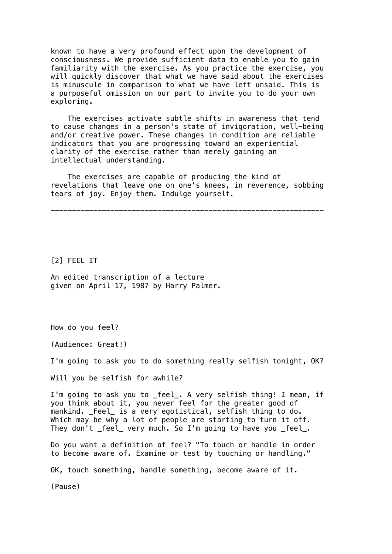known to have a very profound effect upon the development of consciousness. We provide sufficient data to enable you to gain familiarity with the exercise. As you practice the exercise, you will quickly discover that what we have said about the exercises is minuscule in comparison to what we have left unsaid. This is a purposeful omission on our part to invite you to do your own exploring.

 The exercises activate subtle shifts in awareness that tend to cause changes in a person's state of invigoration, well-being and/or creative power. These changes in condition are reliable indicators that you are progressing toward an experiential clarity of the exercise rather than merely gaining an intellectual understanding.

 The exercises are capable of producing the kind of revelations that leave one on one's knees, in reverence, sobbing tears of joy. Enjoy them. Indulge yourself.

----------------------------------------------------------------

[2] FEEL IT

An edited transcription of a lecture given on April 17, 1987 by Harry Palmer.

How do you feel?

(Audience: Great!)

I'm going to ask you to do something really selfish tonight, OK?

Will you be selfish for awhile?

I'm going to ask you to \_feel\_. A very selfish thing! I mean, if you think about it, you never feel for the greater good of mankind. \_Feel\_ is a very egotistical, selfish thing to do. Which may be why a lot of people are starting to turn it off. They don't \_feel\_ very much. So I'm going to have you \_feel\_.

Do you want a definition of feel? "To touch or handle in order to become aware of. Examine or test by touching or handling."

OK, touch something, handle something, become aware of it.

(Pause)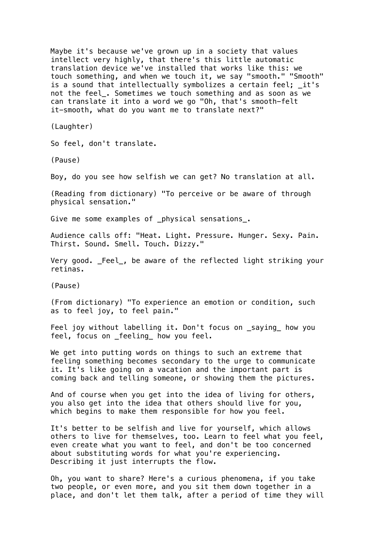Maybe it's because we've grown up in a society that values intellect very highly, that there's this little automatic translation device we've installed that works like this: we touch something, and when we touch it, we say "smooth." "Smooth" is a sound that intellectually symbolizes a certain feel; \_it's not the feel\_. Sometimes we touch something and as soon as we can translate it into a word we go "Oh, that's smooth-felt it-smooth, what do you want me to translate next?"

(Laughter)

So feel, don't translate.

(Pause)

Boy, do you see how selfish we can get? No translation at all.

(Reading from dictionary) "To perceive or be aware of through physical sensation."

Give me some examples of \_physical sensations\_.

Audience calls off: "Heat. Light. Pressure. Hunger. Sexy. Pain. Thirst. Sound. Smell. Touch. Dizzy."

Very good. Feel, be aware of the reflected light striking your retinas.

(Pause)

(From dictionary) "To experience an emotion or condition, such as to feel joy, to feel pain."

Feel joy without labelling it. Don't focus on saying how you feel, focus on feeling how you feel.

We get into putting words on things to such an extreme that feeling something becomes secondary to the urge to communicate it. It's like going on a vacation and the important part is coming back and telling someone, or showing them the pictures.

And of course when you get into the idea of living for others, you also get into the idea that others should live for you, which begins to make them responsible for how you feel.

It's better to be selfish and live for yourself, which allows others to live for themselves, too. Learn to feel what you feel, even create what you want to feel, and don't be too concerned about substituting words for what you're experiencing. Describing it just interrupts the flow.

Oh, you want to share? Here's a curious phenomena, if you take two people, or even more, and you sit them down together in a place, and don't let them talk, after a period of time they will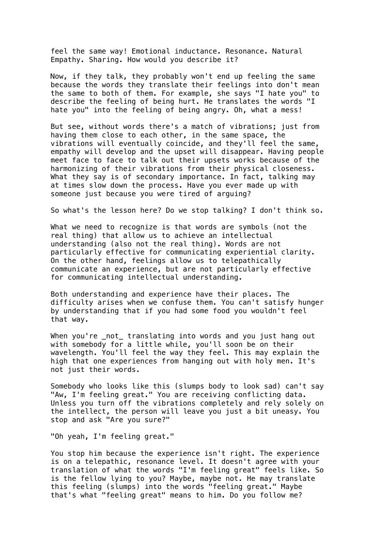feel the same way! Emotional inductance. Resonance. Natural Empathy. Sharing. How would you describe it?

Now, if they talk, they probably won't end up feeling the same because the words they translate their feelings into don't mean the same to both of them. For example, she says "I hate you" to describe the feeling of being hurt. He translates the words "I hate you" into the feeling of being angry. Oh, what a mess!

But see, without words there's a match of vibrations; just from having them close to each other, in the same space, the vibrations will eventually coincide, and they'll feel the same, empathy will develop and the upset will disappear. Having people meet face to face to talk out their upsets works because of the harmonizing of their vibrations from their physical closeness. What they say is of secondary importance. In fact, talking may at times slow down the process. Have you ever made up with someone just because you were tired of arguing?

So what's the lesson here? Do we stop talking? I don't think so.

What we need to recognize is that words are symbols (not the real thing) that allow us to achieve an intellectual understanding (also not the real thing). Words are not particularly effective for communicating experiential clarity. On the other hand, feelings allow us to telepathically communicate an experience, but are not particularly effective for communicating intellectual understanding.

Both understanding and experience have their places. The difficulty arises when we confuse them. You can't satisfy hunger by understanding that if you had some food you wouldn't feel that way.

When you're \_not\_ translating into words and you just hang out with somebody for a little while, you'll soon be on their wavelength. You'll feel the way they feel. This may explain the high that one experiences from hanging out with holy men. It's not just their words.

Somebody who looks like this (slumps body to look sad) can't say "Aw, I'm feeling great." You are receiving conflicting data. Unless you turn off the vibrations completely and rely solely on the intellect, the person will leave you just a bit uneasy. You stop and ask "Are you sure?"

"Oh yeah, I'm feeling great."

You stop him because the experience isn't right. The experience is on a telepathic, resonance level. It doesn't agree with your translation of what the words "I'm feeling great" feels like. So is the fellow lying to you? Maybe, maybe not. He may translate this feeling (slumps) into the words "feeling great." Maybe that's what "feeling great" means to him. Do you follow me?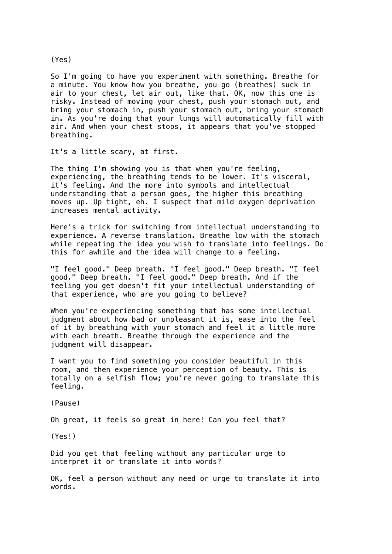So I'm going to have you experiment with something. Breathe for a minute. You know how you breathe, you go (breathes) suck in air to your chest, let air out, like that. OK, now this one is risky. Instead of moving your chest, push your stomach out, and bring your stomach in, push your stomach out, bring your stomach in. As you're doing that your lungs will automatically fill with air. And when your chest stops, it appears that you've stopped breathing.

It's a little scary, at first.

The thing I'm showing you is that when you're feeling, experiencing, the breathing tends to be lower. It's visceral, it's feeling. And the more into symbols and intellectual understanding that a person goes, the higher this breathing moves up. Up tight, eh. I suspect that mild oxygen deprivation increases mental activity.

Here's a trick for switching from intellectual understanding to experience. A reverse translation. Breathe low with the stomach while repeating the idea you wish to translate into feelings. Do this for awhile and the idea will change to a feeling.

"I feel good." Deep breath. "I feel good." Deep breath. "I feel good." Deep breath. "I feel good." Deep breath. And if the feeling you get doesn't fit your intellectual understanding of that experience, who are you going to believe?

When you're experiencing something that has some intellectual judgment about how bad or unpleasant it is, ease into the feel of it by breathing with your stomach and feel it a little more with each breath. Breathe through the experience and the judgment will disappear.

I want you to find something you consider beautiful in this room, and then experience your perception of beauty. This is totally on a selfish flow; you're never going to translate this feeling.

(Pause)

Oh great, it feels so great in here! Can you feel that?

(Yes!)

Did you get that feeling without any particular urge to interpret it or translate it into words?

OK, feel a person without any need or urge to translate it into words.

(Yes)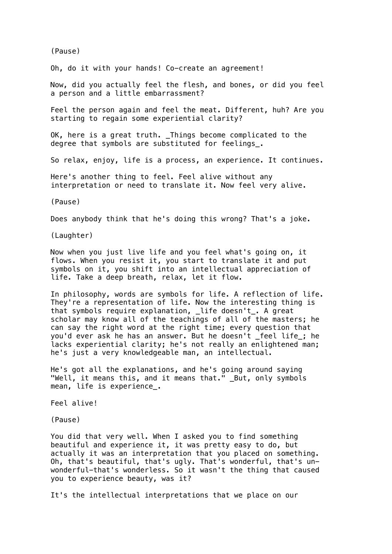(Pause)

Oh, do it with your hands! Co-create an agreement!

Now, did you actually feel the flesh, and bones, or did you feel a person and a little embarrassment?

Feel the person again and feel the meat. Different, huh? Are you starting to regain some experiential clarity?

OK, here is a great truth. Things become complicated to the degree that symbols are substituted for feelings\_.

So relax, enjoy, life is a process, an experience. It continues.

Here's another thing to feel. Feel alive without any interpretation or need to translate it. Now feel very alive.

(Pause)

Does anybody think that he's doing this wrong? That's a joke.

(Laughter)

Now when you just live life and you feel what's going on, it flows. When you resist it, you start to translate it and put symbols on it, you shift into an intellectual appreciation of life. Take a deep breath, relax, let it flow.

In philosophy, words are symbols for life. A reflection of life. They're a representation of life. Now the interesting thing is that symbols require explanation, \_life doesn't\_. A great scholar may know all of the teachings of all of the masters; he can say the right word at the right time; every question that you'd ever ask he has an answer. But he doesn't \_feel life\_; he lacks experiential clarity; he's not really an enlightened man; he's just a very knowledgeable man, an intellectual.

He's got all the explanations, and he's going around saying "Well, it means this, and it means that." But, only symbols mean, life is experience.

Feel alive!

(Pause)

You did that very well. When I asked you to find something beautiful and experience it, it was pretty easy to do, but actually it was an interpretation that you placed on something. Oh, that's beautiful, that's ugly. That's wonderful, that's unwonderful-that's wonderless. So it wasn't the thing that caused you to experience beauty, was it?

It's the intellectual interpretations that we place on our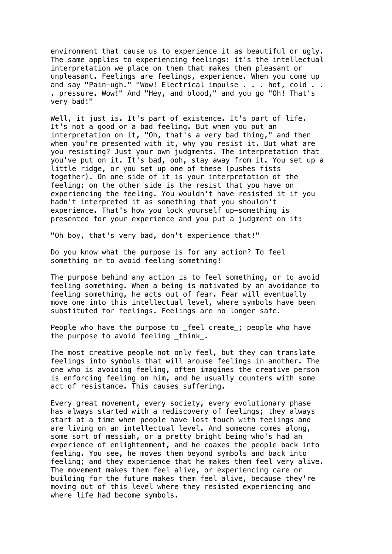environment that cause us to experience it as beautiful or ugly. The same applies to experiencing feelings: it's the intellectual interpretation we place on them that makes them pleasant or unpleasant. Feelings are feelings, experience. When you come up and say "Pain-ugh." "Wow! Electrical impulse . . . hot, cold . . . pressure. Wow!" And "Hey, and blood," and you go "Oh! That's very bad!"

Well, it just is. It's part of existence. It's part of life. It's not a good or a bad feeling. But when you put an interpretation on it, "Oh, that's a very bad thing," and then when you're presented with it, why you resist it. But what are you resisting? Just your own judgments. The interpretation that you've put on it. It's bad, ooh, stay away from it. You set up a little ridge, or you set up one of these (pushes fists together). On one side of it is your interpretation of the feeling; on the other side is the resist that you have on experiencing the feeling. You wouldn't have resisted it if you hadn't interpreted it as something that you shouldn't experience. That's how you lock yourself up-something is presented for your experience and you put a judgment on it:

"Oh boy, that's very bad, don't experience that!"

Do you know what the purpose is for any action? To feel something or to avoid feeling something!

The purpose behind any action is to feel something, or to avoid feeling something. When a being is motivated by an avoidance to feeling something, he acts out of fear. Fear will eventually move one into this intellectual level, where symbols have been substituted for feelings. Feelings are no longer safe.

People who have the purpose to feel create; people who have the purpose to avoid feeling \_think\_.

The most creative people not only feel, but they can translate feelings into symbols that will arouse feelings in another. The one who is avoiding feeling, often imagines the creative person is enforcing feeling on him, and he usually counters with some act of resistance. This causes suffering.

Every great movement, every society, every evolutionary phase has always started with a rediscovery of feelings; they always start at a time when people have lost touch with feelings and are living on an intellectual level. And someone comes along, some sort of messiah, or a pretty bright being who's had an experience of enlightenment, and he coaxes the people back into feeling. You see, he moves them beyond symbols and back into feeling; and they experience that he makes them feel very alive. The movement makes them feel alive, or experiencing care or building for the future makes them feel alive, because they're moving out of this level where they resisted experiencing and where life had become symbols.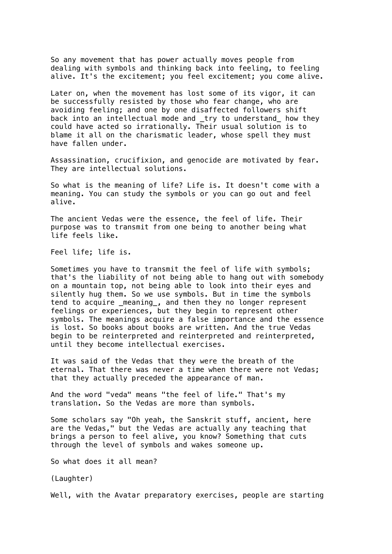So any movement that has power actually moves people from dealing with symbols and thinking back into feeling, to feeling alive. It's the excitement; you feel excitement; you come alive.

Later on, when the movement has lost some of its vigor, it can be successfully resisted by those who fear change, who are avoiding feeling; and one by one disaffected followers shift back into an intellectual mode and \_try to understand\_ how they could have acted so irrationally. Their usual solution is to blame it all on the charismatic leader, whose spell they must have fallen under.

Assassination, crucifixion, and genocide are motivated by fear. They are intellectual solutions.

So what is the meaning of life? Life is. It doesn't come with a meaning. You can study the symbols or you can go out and feel alive.

The ancient Vedas were the essence, the feel of life. Their purpose was to transmit from one being to another being what life feels like.

Feel life; life is.

Sometimes you have to transmit the feel of life with symbols; that's the liability of not being able to hang out with somebody on a mountain top, not being able to look into their eyes and silently hug them. So we use symbols. But in time the symbols tend to acquire \_meaning\_, and then they no longer represent feelings or experiences, but they begin to represent other symbols. The meanings acquire a false importance and the essence is lost. So books about books are written. And the true Vedas begin to be reinterpreted and reinterpreted and reinterpreted, until they become intellectual exercises.

It was said of the Vedas that they were the breath of the eternal. That there was never a time when there were not Vedas; that they actually preceded the appearance of man.

And the word "veda" means "the feel of life." That's my translation. So the Vedas are more than symbols.

Some scholars say "Oh yeah, the Sanskrit stuff, ancient, here are the Vedas," but the Vedas are actually any teaching that brings a person to feel alive, you know? Something that cuts through the level of symbols and wakes someone up.

So what does it all mean?

(Laughter)

Well, with the Avatar preparatory exercises, people are starting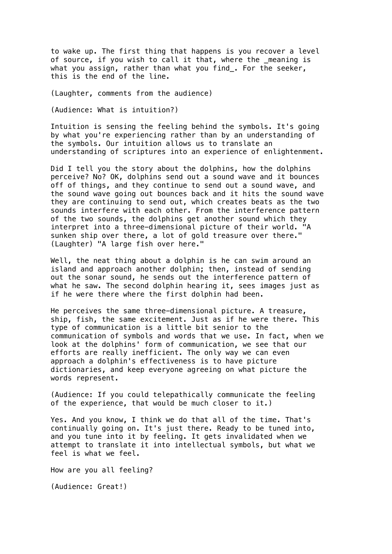to wake up. The first thing that happens is you recover a level of source, if you wish to call it that, where the \_meaning is what you assign, rather than what you find\_. For the seeker, this is the end of the line.

(Laughter, comments from the audience)

(Audience: What is intuition?)

Intuition is sensing the feeling behind the symbols. It's going by what you're experiencing rather than by an understanding of the symbols. Our intuition allows us to translate an understanding of scriptures into an experience of enlightenment.

Did I tell you the story about the dolphins, how the dolphins perceive? No? OK, dolphins send out a sound wave and it bounces off of things, and they continue to send out a sound wave, and the sound wave going out bounces back and it hits the sound wave they are continuing to send out, which creates beats as the two sounds interfere with each other. From the interference pattern of the two sounds, the dolphins get another sound which they interpret into a three-dimensional picture of their world. "A sunken ship over there, a lot of gold treasure over there." (Laughter) "A large fish over here."

Well, the neat thing about a dolphin is he can swim around an island and approach another dolphin; then, instead of sending out the sonar sound, he sends out the interference pattern of what he saw. The second dolphin hearing it, sees images just as if he were there where the first dolphin had been.

He perceives the same three-dimensional picture. A treasure, ship, fish, the same excitement. Just as if he were there. This type of communication is a little bit senior to the communication of symbols and words that we use. In fact, when we look at the dolphins' form of communication, we see that our efforts are really inefficient. The only way we can even approach a dolphin's effectiveness is to have picture dictionaries, and keep everyone agreeing on what picture the words represent.

(Audience: If you could telepathically communicate the feeling of the experience, that would be much closer to it.)

Yes. And you know, I think we do that all of the time. That's continually going on. It's just there. Ready to be tuned into, and you tune into it by feeling. It gets invalidated when we attempt to translate it into intellectual symbols, but what we feel is what we feel.

How are you all feeling?

(Audience: Great!)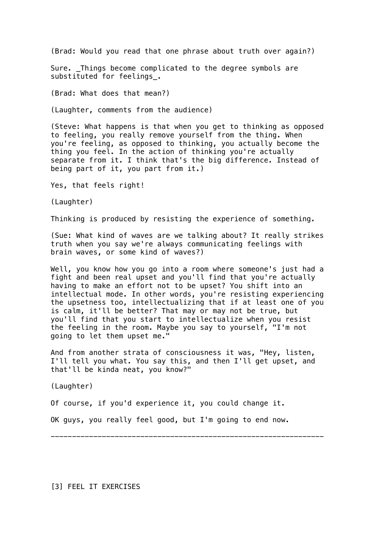(Brad: Would you read that one phrase about truth over again?)

Sure. \_Things become complicated to the degree symbols are substituted for feelings\_.

(Brad: What does that mean?)

(Laughter, comments from the audience)

(Steve: What happens is that when you get to thinking as opposed to feeling, you really remove yourself from the thing. When you're feeling, as opposed to thinking, you actually become the thing you feel. In the action of thinking you're actually separate from it. I think that's the big difference. Instead of being part of it, you part from it.)

Yes, that feels right!

(Laughter)

Thinking is produced by resisting the experience of something.

(Sue: What kind of waves are we talking about? It really strikes truth when you say we're always communicating feelings with brain waves, or some kind of waves?)

Well, you know how you go into a room where someone's just had a fight and been real upset and you'll find that you're actually having to make an effort not to be upset? You shift into an intellectual mode. In other words, you're resisting experiencing the upsetness too, intellectualizing that if at least one of you is calm, it'll be better? That may or may not be true, but you'll find that you start to intellectualize when you resist the feeling in the room. Maybe you say to yourself, "I'm not going to let them upset me."

And from another strata of consciousness it was, "Hey, listen, I'll tell you what. You say this, and then I'll get upset, and that'll be kinda neat, you know?"

----------------------------------------------------------------

(Laughter)

Of course, if you'd experience it, you could change it.

OK guys, you really feel good, but I'm going to end now.

[3] FEEL IT EXERCISES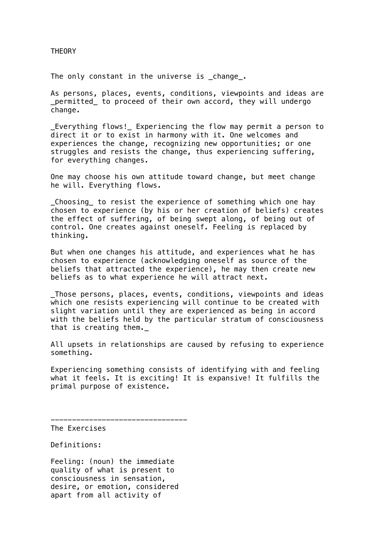THEORY

The only constant in the universe is change.

As persons, places, events, conditions, viewpoints and ideas are \_permitted\_ to proceed of their own accord, they will undergo change.

Everything flows! Experiencing the flow may permit a person to direct it or to exist in harmony with it. One welcomes and experiences the change, recognizing new opportunities; or one struggles and resists the change, thus experiencing suffering, for everything changes.

One may choose his own attitude toward change, but meet change he will. Everything flows.

\_Choosing\_ to resist the experience of something which one hay chosen to experience (by his or her creation of beliefs) creates the effect of suffering, of being swept along, of being out of control. One creates against oneself. Feeling is replaced by thinking.

But when one changes his attitude, and experiences what he has chosen to experience (acknowledging oneself as source of the beliefs that attracted the experience), he may then create new beliefs as to what experience he will attract next.

\_Those persons, places, events, conditions, viewpoints and ideas which one resists experiencing will continue to be created with slight variation until they are experienced as being in accord with the beliefs held by the particular stratum of consciousness that is creating them.

All upsets in relationships are caused by refusing to experience something.

Experiencing something consists of identifying with and feeling what it feels. It is exciting! It is expansive! It fulfills the primal purpose of existence.

The Exercises

Definitions:

Feeling: (noun) the immediate quality of what is present to consciousness in sensation, desire, or emotion, considered apart from all activity of

--------------------------------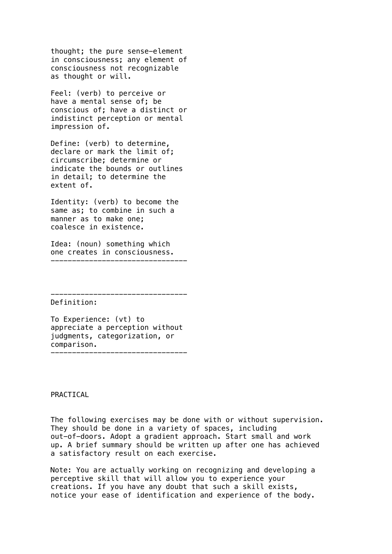thought; the pure sense-element in consciousness; any element of consciousness not recognizable as thought or will.

Feel: (verb) to perceive or have a mental sense of; be conscious of; have a distinct or indistinct perception or mental impression of.

Define: (verb) to determine, declare or mark the limit of; circumscribe; determine or indicate the bounds or outlines in detail; to determine the extent of.

Identity: (verb) to become the same as; to combine in such a manner as to make one; coalesce in existence.

Idea: (noun) something which one creates in consciousness. --------------------------------

Definition:

To Experience: (vt) to appreciate a perception without judgments, categorization, or comparison. --------------------------------

--------------------------------

PRACTICAL

The following exercises may be done with or without supervision. They should be done in a variety of spaces, including out-of-doors. Adopt a gradient approach. Start small and work up. A brief summary should be written up after one has achieved a satisfactory result on each exercise.

Note: You are actually working on recognizing and developing a perceptive skill that will allow you to experience your creations. If you have any doubt that such a skill exists, notice your ease of identification and experience of the body.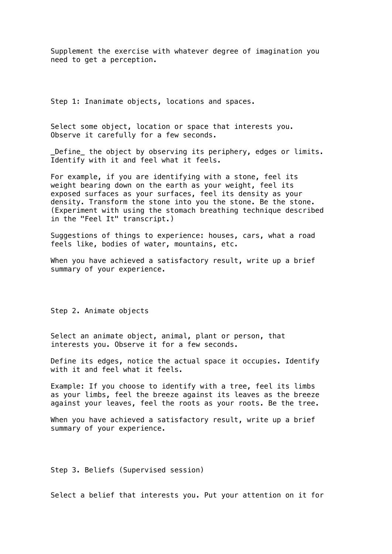Supplement the exercise with whatever degree of imagination you need to get a perception.

Step 1: Inanimate objects, locations and spaces.

Select some object, location or space that interests you. Observe it carefully for a few seconds.

\_Define\_ the object by observing its periphery, edges or limits. Identify with it and feel what it feels.

For example, if you are identifying with a stone, feel its weight bearing down on the earth as your weight, feel its exposed surfaces as your surfaces, feel its density as your density. Transform the stone into you the stone. Be the stone. (Experiment with using the stomach breathing technique described in the "Feel It" transcript.)

Suggestions of things to experience: houses, cars, what a road feels like, bodies of water, mountains, etc.

When you have achieved a satisfactory result, write up a brief summary of your experience.

Step 2. Animate objects

Select an animate object, animal, plant or person, that interests you. Observe it for a few seconds.

Define its edges, notice the actual space it occupies. Identify with it and feel what it feels.

Example: If you choose to identify with a tree, feel its limbs as your limbs, feel the breeze against its leaves as the breeze against your leaves, feel the roots as your roots. Be the tree.

When you have achieved a satisfactory result, write up a brief summary of your experience.

Step 3. Beliefs (Supervised session)

Select a belief that interests you. Put your attention on it for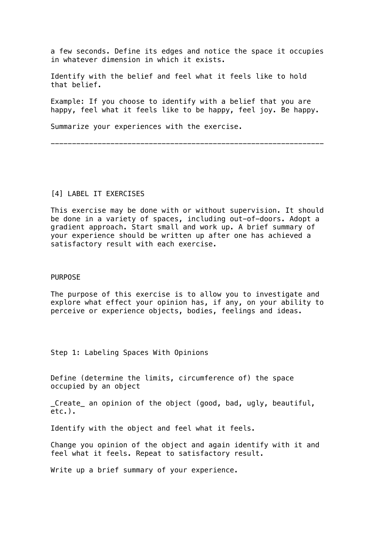a few seconds. Define its edges and notice the space it occupies in whatever dimension in which it exists.

Identify with the belief and feel what it feels like to hold that belief.

Example: If you choose to identify with a belief that you are happy, feel what it feels like to be happy, feel joy. Be happy.

----------------------------------------------------------------

Summarize your experiences with the exercise.

# [4] LABEL IT EXERCISES

This exercise may be done with or without supervision. It should be done in a variety of spaces, including out-of-doors. Adopt a gradient approach. Start small and work up. A brief summary of your experience should be written up after one has achieved a satisfactory result with each exercise.

#### PURPOSE

The purpose of this exercise is to allow you to investigate and explore what effect your opinion has, if any, on your ability to perceive or experience objects, bodies, feelings and ideas.

Step 1: Labeling Spaces With Opinions

Define (determine the limits, circumference of) the space occupied by an object

\_Create\_ an opinion of the object (good, bad, ugly, beautiful, etc.).

Identify with the object and feel what it feels.

Change you opinion of the object and again identify with it and feel what it feels. Repeat to satisfactory result.

Write up a brief summary of your experience.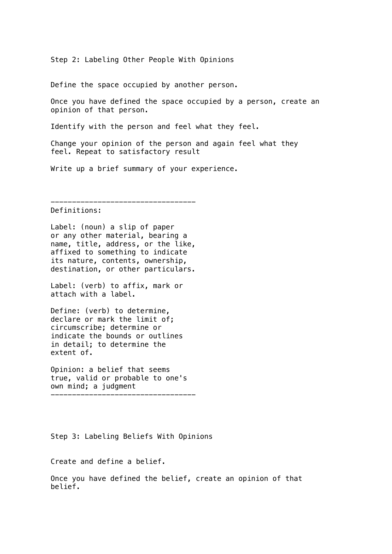Step 2: Labeling Other People With Opinions

Define the space occupied by another person.

Once you have defined the space occupied by a person, create an opinion of that person.

Identify with the person and feel what they feel.

Change your opinion of the person and again feel what they feel. Repeat to satisfactory result

Write up a brief summary of your experience.

----------------------------------

#### Definitions:

Label: (noun) a slip of paper or any other material, bearing a name, title, address, or the like, affixed to something to indicate its nature, contents, ownership, destination, or other particulars.

Label: (verb) to affix, mark or attach with a label.

Define: (verb) to determine, declare or mark the limit of; circumscribe; determine or indicate the bounds or outlines in detail; to determine the extent of.

Opinion: a belief that seems true, valid or probable to one's own mind; a judgment ----------------------------------

Step 3: Labeling Beliefs With Opinions

Create and define a belief.

Once you have defined the belief, create an opinion of that belief.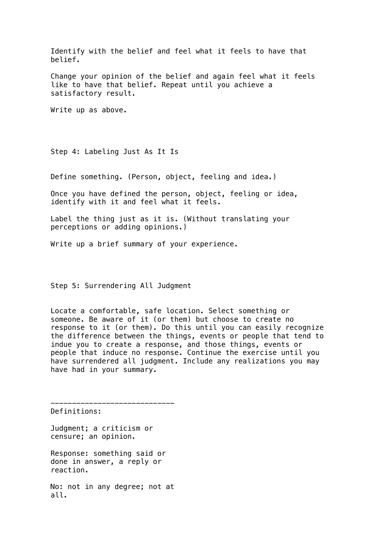Identify with the belief and feel what it feels to have that belief.

Change your opinion of the belief and again feel what it feels like to have that belief. Repeat until you achieve a satisfactory result.

Write up as above.

Step 4: Labeling Just As It Is

Define something. (Person, object, feeling and idea.)

Once you have defined the person, object, feeling or idea, identify with it and feel what it feels.

Label the thing just as it is. (Without translating your perceptions or adding opinions.)

Write up a brief summary of your experience.

Step 5: Surrendering All Judgment

Locate a comfortable, safe location. Select something or someone. Be aware of it (or them) but choose to create no response to it (or them). Do this until you can easily recognize the difference between the things, events or people that tend to indue you to create a response, and those things, events or people that induce no response. Continue the exercise until you have surrendered all judgment. Include any realizations you may have had in your summary.

Definitions:

Judgment; a criticism or censure; an opinion.

Response: something said or done in answer, a reply or reaction.

-----------------------------

No: not in any degree; not at all.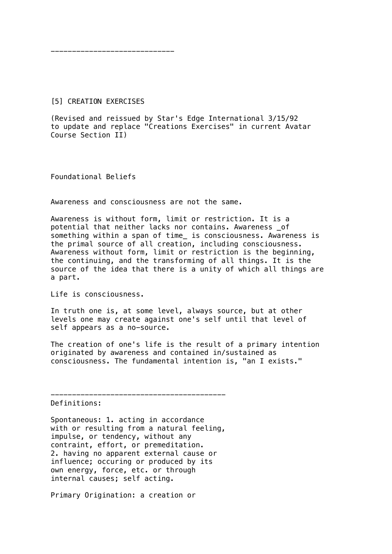-----------------------------

#### [5] CREATION EXERCISES

(Revised and reissued by Star's Edge International 3/15/92 to update and replace "Creations Exercises" in current Avatar Course Section II)

Foundational Beliefs

Awareness and consciousness are not the same.

Awareness is without form, limit or restriction. It is a potential that neither lacks nor contains. Awareness \_of something within a span of time\_ is consciousness. Awareness is the primal source of all creation, including consciousness. Awareness without form, limit or restriction is the beginning, the continuing, and the transforming of all things. It is the source of the idea that there is a unity of which all things are a part.

Life is consciousness.

In truth one is, at some level, always source, but at other levels one may create against one's self until that level of self appears as a no-source.

The creation of one's life is the result of a primary intention originated by awareness and contained in/sustained as consciousness. The fundamental intention is, "an I exists."

Definitions:

Spontaneous: 1. acting in accordance with or resulting from a natural feeling, impulse, or tendency, without any contraint, effort, or premeditation. 2. having no apparent external cause or influence; occuring or produced by its own energy, force, etc. or through internal causes; self acting.

-----------------------------------------

Primary Origination: a creation or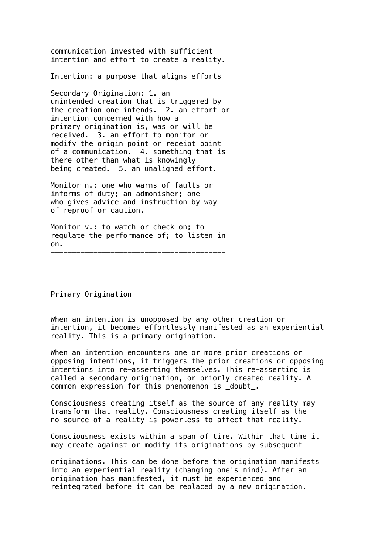communication invested with sufficient intention and effort to create a reality.

Intention: a purpose that aligns efforts

Secondary Origination: 1. an unintended creation that is triggered by the creation one intends. 2. an effort or intention concerned with how a primary origination is, was or will be received. 3. an effort to monitor or modify the origin point or receipt point of a communication. 4. something that is there other than what is knowingly being created. 5. an unaligned effort.

Monitor n.: one who warns of faults or informs of duty; an admonisher; one who gives advice and instruction by way of reproof or caution.

Monitor v.: to watch or check on; to regulate the performance of; to listen in on.

-----------------------------------------

Primary Origination

When an intention is unopposed by any other creation or intention, it becomes effortlessly manifested as an experiential reality. This is a primary origination.

When an intention encounters one or more prior creations or opposing intentions, it triggers the prior creations or opposing intentions into re-asserting themselves. This re-asserting is called a secondary origination, or priorly created reality. A common expression for this phenomenon is doubt.

Consciousness creating itself as the source of any reality may transform that reality. Consciousness creating itself as the no-source of a reality is powerless to affect that reality.

Consciousness exists within a span of time. Within that time it may create against or modify its originations by subsequent

originations. This can be done before the origination manifests into an experiential reality (changing one's mind). After an origination has manifested, it must be experienced and reintegrated before it can be replaced by a new origination.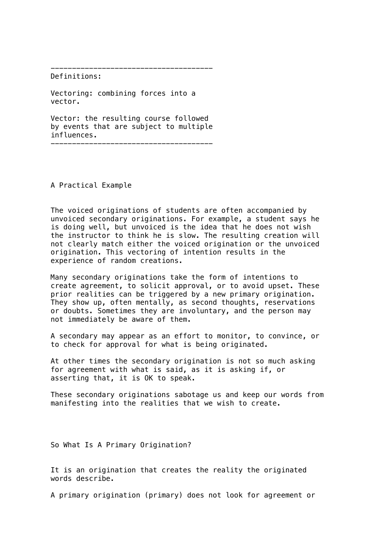--------------------------------------

Definitions:

Vectoring: combining forces into a vector.

Vector: the resulting course followed by events that are subject to multiple influences.

--------------------------------------

A Practical Example

The voiced originations of students are often accompanied by unvoiced secondary originations. For example, a student says he is doing well, but unvoiced is the idea that he does not wish the instructor to think he is slow. The resulting creation will not clearly match either the voiced origination or the unvoiced origination. This vectoring of intention results in the experience of random creations.

Many secondary originations take the form of intentions to create agreement, to solicit approval, or to avoid upset. These prior realities can be triggered by a new primary origination. They show up, often mentally, as second thoughts, reservations or doubts. Sometimes they are involuntary, and the person may not immediately be aware of them.

A secondary may appear as an effort to monitor, to convince, or to check for approval for what is being originated.

At other times the secondary origination is not so much asking for agreement with what is said, as it is asking if, or asserting that, it is OK to speak.

These secondary originations sabotage us and keep our words from manifesting into the realities that we wish to create.

So What Is A Primary Origination?

It is an origination that creates the reality the originated words describe.

A primary origination (primary) does not look for agreement or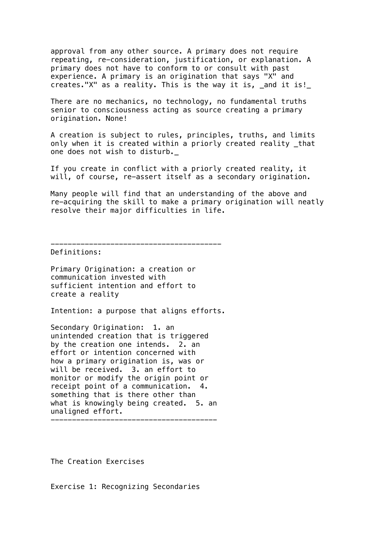approval from any other source. A primary does not require repeating, re-consideration, justification, or explanation. A primary does not have to conform to or consult with past experience. A primary is an origination that says "X" and creates."X" as a reality. This is the way it is, \_and it is!\_

There are no mechanics, no technology, no fundamental truths senior to consciousness acting as source creating a primary origination. None!

A creation is subject to rules, principles, truths, and limits only when it is created within a priorly created reality \_that one does not wish to disturb.\_

If you create in conflict with a priorly created reality, it will, of course, re-assert itself as a secondary origination.

Many people will find that an understanding of the above and re-acquiring the skill to make a primary origination will neatly resolve their major difficulties in life.

----------------------------------------

Definitions:

Primary Origination: a creation or communication invested with sufficient intention and effort to create a reality

Intention: a purpose that aligns efforts.

Secondary Origination: 1. an unintended creation that is triggered by the creation one intends. 2. an effort or intention concerned with how a primary origination is, was or will be received. 3. an effort to monitor or modify the origin point or receipt point of a communication. 4. something that is there other than what is knowingly being created. 5. an unaligned effort.

---------------------------------------

The Creation Exercises

Exercise 1: Recognizing Secondaries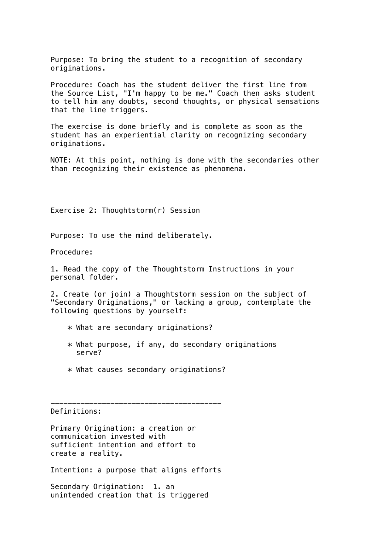Purpose: To bring the student to a recognition of secondary originations.

Procedure: Coach has the student deliver the first line from the Source List, "I'm happy to be me." Coach then asks student to tell him any doubts, second thoughts, or physical sensations that the line triggers.

The exercise is done briefly and is complete as soon as the student has an experiential clarity on recognizing secondary originations.

NOTE: At this point, nothing is done with the secondaries other than recognizing their existence as phenomena.

Exercise 2: Thoughtstorm(r) Session

Purpose: To use the mind deliberately.

Procedure:

1. Read the copy of the Thoughtstorm Instructions in your personal folder.

2. Create (or join) a Thoughtstorm session on the subject of "Secondary Originations," or lacking a group, contemplate the following questions by yourself:

- \* What are secondary originations?
- $*$  What purpose, if any, do secondary originations serve?
- \* What causes secondary originations?

----------------------------------------

Definitions:

Primary Origination: a creation or communication invested with sufficient intention and effort to create a reality.

Intention: a purpose that aligns efforts

Secondary Origination: 1. an unintended creation that is triggered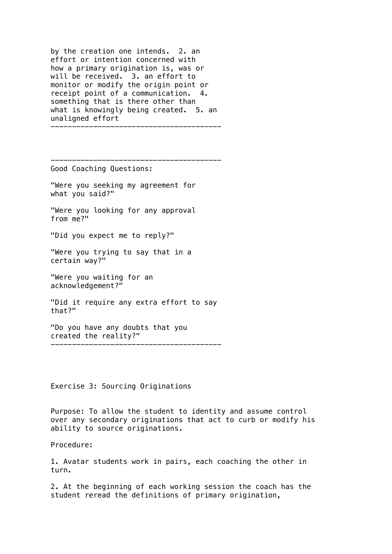by the creation one intends. 2. an effort or intention concerned with how a primary origination is, was or will be received. 3. an effort to monitor or modify the origin point or receipt point of a communication. 4. something that is there other than what is knowingly being created. 5. an unaligned effort

----------------------------------------

----------------------------------------

Good Coaching Questions:

"Were you seeking my agreement for what you said?"

"Were you looking for any approval from me?"

"Did you expect me to reply?"

"Were you trying to say that in a certain way?"

"Were you waiting for an acknowledgement?"

"Did it require any extra effort to say that?"

----------------------------------------

"Do you have any doubts that you created the reality?"

Exercise 3: Sourcing Originations

Purpose: To allow the student to identity and assume control over any secondary originations that act to curb or modify his ability to source originations.

Procedure:

1. Avatar students work in pairs, each coaching the other in turn.

2. At the beginning of each working session the coach has the student reread the definitions of primary origination,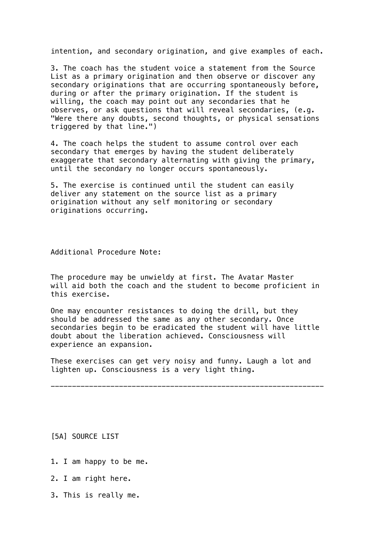intention, and secondary origination, and give examples of each.

3. The coach has the student voice a statement from the Source List as a primary origination and then observe or discover any secondary originations that are occurring spontaneously before, during or after the primary origination. If the student is willing, the coach may point out any secondaries that he observes, or ask questions that will reveal secondaries, (e.g. "Were there any doubts, second thoughts, or physical sensations triggered by that line.")

4. The coach helps the student to assume control over each secondary that emerges by having the student deliberately exaggerate that secondary alternating with giving the primary, until the secondary no longer occurs spontaneously.

5. The exercise is continued until the student can easily deliver any statement on the source list as a primary origination without any self monitoring or secondary originations occurring.

Additional Procedure Note:

The procedure may be unwieldy at first. The Avatar Master will aid both the coach and the student to become proficient in this exercise.

One may encounter resistances to doing the drill, but they should be addressed the same as any other secondary. Once secondaries begin to be eradicated the student will have little doubt about the liberation achieved. Consciousness will experience an expansion.

These exercises can get very noisy and funny. Laugh a lot and lighten up. Consciousness is a very light thing.

----------------------------------------------------------------

[5A] SOURCE LIST

- 1. I am happy to be me.
- 2. I am right here.
- 3. This is really me.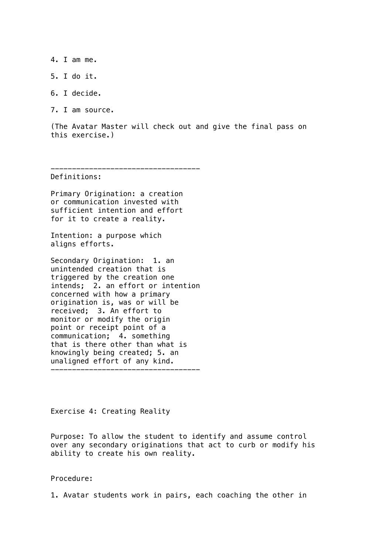4. I am me.

5. I do it.

6. I decide.

7. I am source.

(The Avatar Master will check out and give the final pass on this exercise.)

-----------------------------------

Definitions:

Primary Origination: a creation or communication invested with sufficient intention and effort for it to create a reality.

Intention: a purpose which aligns efforts.

Secondary Origination: 1. an unintended creation that is triggered by the creation one intends; 2. an effort or intention concerned with how a primary origination is, was or will be received; 3. An effort to monitor or modify the origin point or receipt point of a communication; 4. something that is there other than what is knowingly being created; 5. an unaligned effort of any kind. -----------------------------------

Exercise 4: Creating Reality

Purpose: To allow the student to identify and assume control over any secondary originations that act to curb or modify his ability to create his own reality.

Procedure:

1. Avatar students work in pairs, each coaching the other in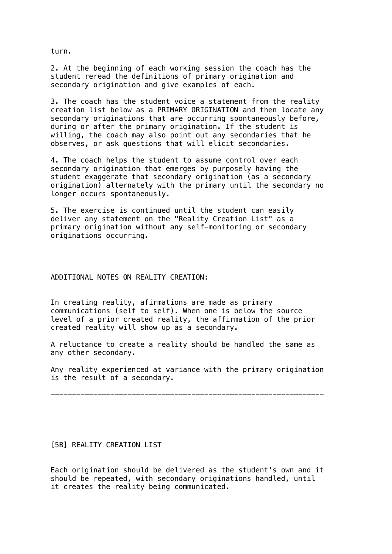turn.

2. At the beginning of each working session the coach has the student reread the definitions of primary origination and secondary origination and give examples of each.

3. The coach has the student voice a statement from the reality creation list below as a PRIMARY ORIGINATION and then locate any secondary originations that are occurring spontaneously before, during or after the primary origination. If the student is willing, the coach may also point out any secondaries that he observes, or ask questions that will elicit secondaries.

4. The coach helps the student to assume control over each secondary origination that emerges by purposely having the student exaggerate that secondary origination (as a secondary origination) alternately with the primary until the secondary no longer occurs spontaneously.

5. The exercise is continued until the student can easily deliver any statement on the "Reality Creation List" as a primary origination without any self-monitoring or secondary originations occurring.

## ADDITIONAL NOTES ON REALITY CREATION:

In creating reality, afirmations are made as primary communications (self to self). When one is below the source level of a prior created reality, the affirmation of the prior created reality will show up as a secondary.

A reluctance to create a reality should be handled the same as any other secondary.

Any reality experienced at variance with the primary origination is the result of a secondary.

----------------------------------------------------------------

#### [5B] REALITY CREATION LIST

Each origination should be delivered as the student's own and it should be repeated, with secondary originations handled, until it creates the reality being communicated.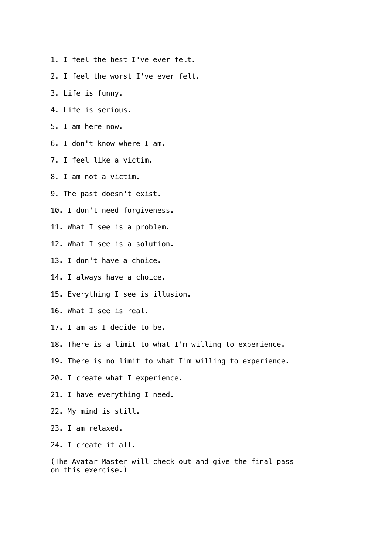- 1. I feel the best I've ever felt.
- 2. I feel the worst I've ever felt.
- 3. Life is funny.
- 4. Life is serious.
- 5. I am here now.
- 6. I don't know where I am.
- 7. I feel like a victim.
- 8. I am not a victim.
- 9. The past doesn't exist.
- 10. I don't need forgiveness.
- 11. What I see is a problem.
- 12. What I see is a solution.
- 13. I don't have a choice.
- 14. I always have a choice.
- 15. Everything I see is illusion.
- 16. What I see is real.
- 17. I am as I decide to be.
- 18. There is a limit to what I'm willing to experience.
- 19. There is no limit to what I'm willing to experience.
- 20. I create what I experience.
- 21. I have everything I need.
- 22. My mind is still.
- 23. I am relaxed.
- 24. I create it all.

(The Avatar Master will check out and give the final pass on this exercise.)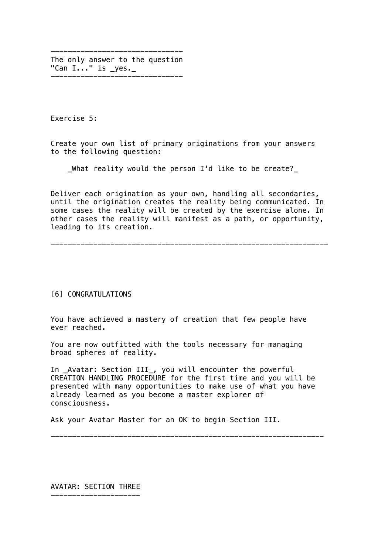------------------------------- The only answer to the question "Can I..." is \_yes.\_ -------------------------------

Exercise 5:

Create your own list of primary originations from your answers to the following question:

\_What reality would the person I'd like to be create?\_

Deliver each origination as your own, handling all secondaries, until the origination creates the reality being communicated. In some cases the reality will be created by the exercise alone. In other cases the reality will manifest as a path, or opportunity, leading to its creation.

-----------------------------------------------------------------

#### [6] CONGRATULATIONS

You have achieved a mastery of creation that few people have ever reached.

You are now outfitted with the tools necessary for managing broad spheres of reality.

In \_Avatar: Section III\_, you will encounter the powerful CREATION HANDLING PROCEDURE for the first time and you will be presented with many opportunities to make use of what you have already learned as you become a master explorer of consciousness.

----------------------------------------------------------------

Ask your Avatar Master for an OK to begin Section III.

AVATAR: SECTION THREE ---------------------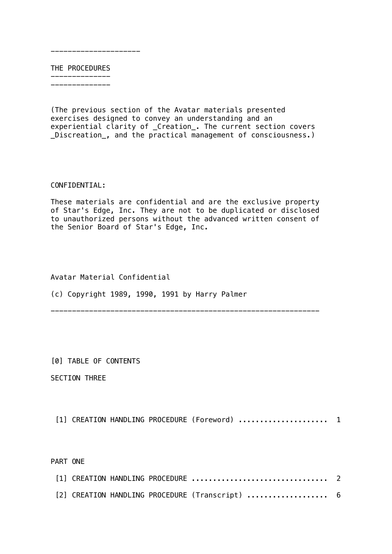THE PROCEDURES --------------

---------------------

--------------

(The previous section of the Avatar materials presented exercises designed to convey an understanding and an experiential clarity of \_Creation\_. The current section covers \_Discreation\_, and the practical management of consciousness.)

## CONFIDENTIAL:

These materials are confidential and are the exclusive property of Star's Edge, Inc. They are not to be duplicated or disclosed to unauthorized persons without the advanced written consent of the Senior Board of Star's Edge, Inc.

---------------------------------------------------------------

## Avatar Material Confidential

(c) Copyright 1989, 1990, 1991 by Harry Palmer

[0] TABLE OF CONTENTS

SECTION THREE

[1] CREATION HANDLING PROCEDURE (Foreword) ...................... 1

PART ONE

| [2] CREATION HANDLING PROCEDURE (Transcript)  6 |  |  |
|-------------------------------------------------|--|--|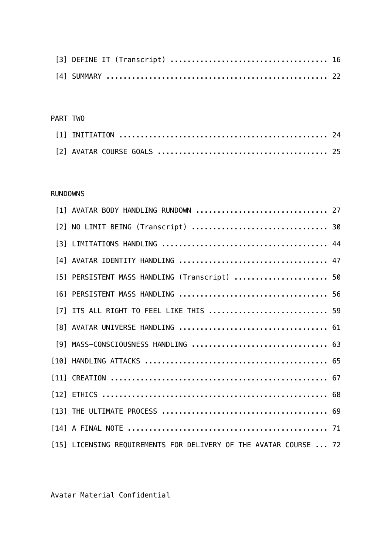# PART TWO

# RUNDOWNS

| [1] AVATAR BODY HANDLING RUNDOWN  27                              |  |
|-------------------------------------------------------------------|--|
| [2] NO LIMIT BEING (Transcript)  30                               |  |
|                                                                   |  |
| [4] AVATAR IDENTITY HANDLING  47                                  |  |
| [5] PERSISTENT MASS HANDLING (Transcript)  50                     |  |
|                                                                   |  |
| [7] ITS ALL RIGHT TO FEEL LIKE THIS  59                           |  |
|                                                                   |  |
| [9] MASS-CONSCIOUSNESS HANDLING  63                               |  |
|                                                                   |  |
|                                                                   |  |
|                                                                   |  |
|                                                                   |  |
|                                                                   |  |
| [15] LICENSING REQUIREMENTS FOR DELIVERY OF THE AVATAR COURSE  72 |  |

Avatar Material Confidential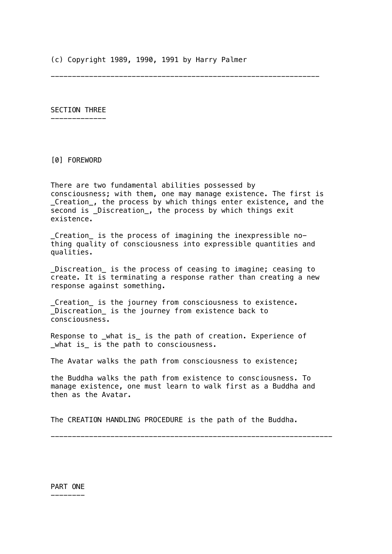(c) Copyright 1989, 1990, 1991 by Harry Palmer

---------------------------------------------------------------

SECTION THREE -------------

[0] FOREWORD

There are two fundamental abilities possessed by consciousness; with them, one may manage existence. The first is \_Creation\_, the process by which things enter existence, and the second is \_Discreation\_, the process by which things exit existence.

\_Creation\_ is the process of imagining the inexpressible nothing quality of consciousness into expressible quantities and qualities.

\_Discreation\_ is the process of ceasing to imagine; ceasing to create. It is terminating a response rather than creating a new response against something.

\_Creation\_ is the journey from consciousness to existence. Discreation is the journey from existence back to consciousness.

Response to \_what is\_ is the path of creation. Experience of \_what is\_ is the path to consciousness.

The Avatar walks the path from consciousness to existence;

the Buddha walks the path from existence to consciousness. To manage existence, one must learn to walk first as a Buddha and then as the Avatar.

------------------------------------------------------------------

The CREATION HANDLING PROCEDURE is the path of the Buddha.

PART ONE --------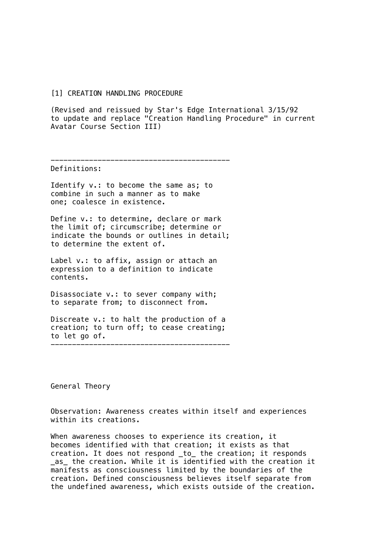#### [1] CREATION HANDLING PROCEDURE

(Revised and reissued by Star's Edge International 3/15/92 to update and replace "Creation Handling Procedure" in current Avatar Course Section III)

------------------------------------------

Definitions:

Identify v.: to become the same as; to combine in such a manner as to make one; coalesce in existence.

Define v.: to determine, declare or mark the limit of; circumscribe; determine or indicate the bounds or outlines in detail; to determine the extent of.

Label v.: to affix, assign or attach an expression to a definition to indicate contents.

Disassociate v.: to sever company with; to separate from; to disconnect from.

Discreate v.: to halt the production of a creation; to turn off; to cease creating; to let go of.

------------------------------------------

General Theory

Observation: Awareness creates within itself and experiences within its creations.

When awareness chooses to experience its creation, it becomes identified with that creation; it exists as that creation. It does not respond \_to\_ the creation; it responds \_as\_ the creation. While it is identified with the creation it manifests as consciousness limited by the boundaries of the creation. Defined consciousness believes itself separate from the undefined awareness, which exists outside of the creation.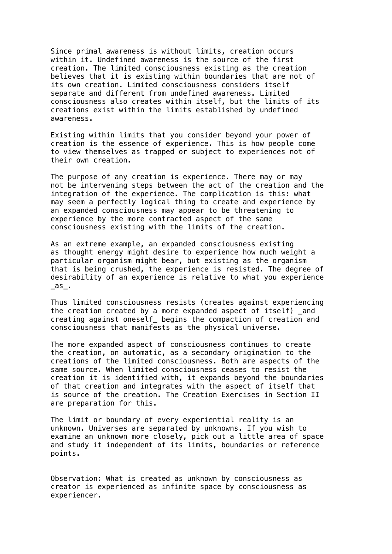Since primal awareness is without limits, creation occurs within it. Undefined awareness is the source of the first creation. The limited consciousness existing as the creation believes that it is existing within boundaries that are not of its own creation. Limited consciousness considers itself separate and different from undefined awareness. Limited consciousness also creates within itself, but the limits of its creations exist within the limits established by undefined awareness.

Existing within limits that you consider beyond your power of creation is the essence of experience. This is how people come to view themselves as trapped or subject to experiences not of their own creation.

The purpose of any creation is experience. There may or may not be intervening steps between the act of the creation and the integration of the experience. The complication is this: what may seem a perfectly logical thing to create and experience by an expanded consciousness may appear to be threatening to experience by the more contracted aspect of the same consciousness existing with the limits of the creation.

As an extreme example, an expanded consciousness existing as thought energy might desire to experience how much weight a particular organism might bear, but existing as the organism that is being crushed, the experience is resisted. The degree of desirability of an experience is relative to what you experience \_as\_.

Thus limited consciousness resists (creates against experiencing the creation created by a more expanded aspect of itself) and creating against oneself\_ begins the compaction of creation and consciousness that manifests as the physical universe.

The more expanded aspect of consciousness continues to create the creation, on automatic, as a secondary origination to the creations of the limited consciousness. Both are aspects of the same source. When limited consciousness ceases to resist the creation it is identified with, it expands beyond the boundaries of that creation and integrates with the aspect of itself that is source of the creation. The Creation Exercises in Section II are preparation for this.

The limit or boundary of every experiential reality is an unknown. Universes are separated by unknowns. If you wish to examine an unknown more closely, pick out a little area of space and study it independent of its limits, boundaries or reference points.

Observation: What is created as unknown by consciousness as creator is experienced as infinite space by consciousness as experiencer.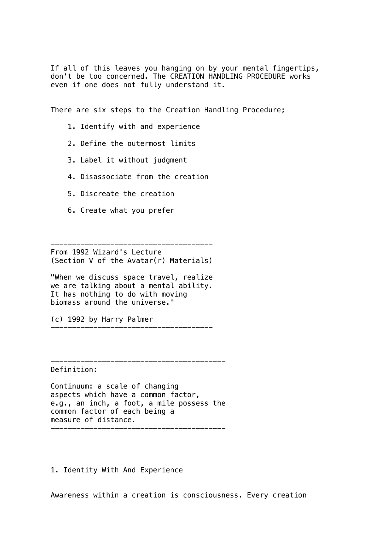If all of this leaves you hanging on by your mental fingertips, don't be too concerned. The CREATION HANDLING PROCEDURE works even if one does not fully understand it.

There are six steps to the Creation Handling Procedure;

- 1. Identify with and experience
- 2. Define the outermost limits
- 3. Label it without judgment
- 4. Disassociate from the creation
- 5. Discreate the creation
- 6. Create what you prefer

-------------------------------------- From 1992 Wizard's Lecture (Section V of the Avatar(r) Materials)

"When we discuss space travel, realize we are talking about a mental ability. It has nothing to do with moving biomass around the universe."

(c) 1992 by Harry Palmer

-----------------------------------------

Definition:

Continuum: a scale of changing aspects which have a common factor, e.g., an inch, a foot, a mile possess the common factor of each being a measure of distance.

1. Identity With And Experience

Awareness within a creation is consciousness. Every creation

--------------------------------------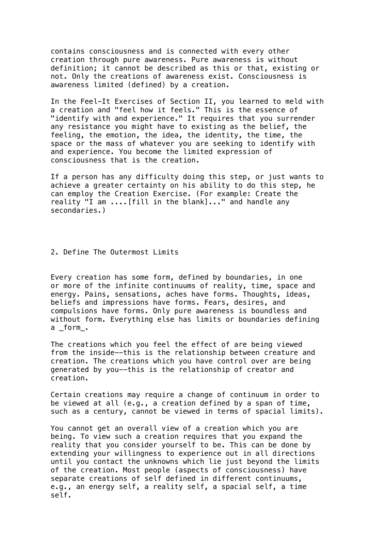contains consciousness and is connected with every other creation through pure awareness. Pure awareness is without definition; it cannot be described as this or that, existing or not. Only the creations of awareness exist. Consciousness is awareness limited (defined) by a creation.

In the Feel-It Exercises of Section II, you learned to meld with a creation and "feel how it feels." This is the essence of "identify with and experience." It requires that you surrender any resistance you might have to existing as the belief, the feeling, the emotion, the idea, the identity, the time, the space or the mass of whatever you are seeking to identify with and experience. You become the limited expression of consciousness that is the creation.

If a person has any difficulty doing this step, or just wants to achieve a greater certainty on his ability to do this step, he can employ the Creation Exercise. (For example: Create the reality "I am ....[fill in the blank]..." and handle any secondaries.)

2. Define The Outermost Limits

Every creation has some form, defined by boundaries, in one or more of the infinite continuums of reality, time, space and energy. Pains, sensations, aches have forms. Thoughts, ideas, beliefs and impressions have forms. Fears, desires, and compulsions have forms. Only pure awareness is boundless and without form. Everything else has limits or boundaries defining a form.

The creations which you feel the effect of are being viewed from the inside--this is the relationship between creature and creation. The creations which you have control over are being generated by you--this is the relationship of creator and creation.

Certain creations may require a change of continuum in order to be viewed at all (e.g., a creation defined by a span of time, such as a century, cannot be viewed in terms of spacial limits).

You cannot get an overall view of a creation which you are being. To view such a creation requires that you expand the reality that you consider yourself to be. This can be done by extending your willingness to experience out in all directions until you contact the unknowns which lie just beyond the limits of the creation. Most people (aspects of consciousness) have separate creations of self defined in different continuums, e.g., an energy self, a reality self, a spacial self, a time self.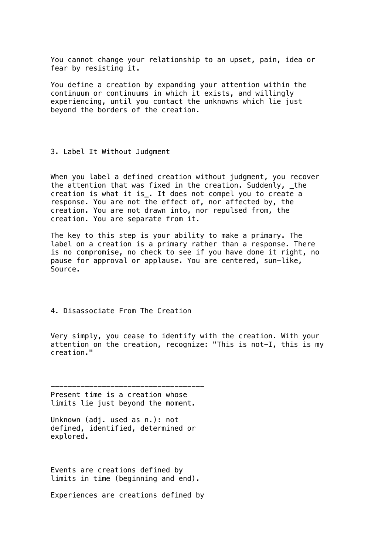You cannot change your relationship to an upset, pain, idea or fear by resisting it.

You define a creation by expanding your attention within the continuum or continuums in which it exists, and willingly experiencing, until you contact the unknowns which lie just beyond the borders of the creation.

3. Label It Without Judgment

When you label a defined creation without judgment, you recover the attention that was fixed in the creation. Suddenly, \_the creation is what it is\_. It does not compel you to create a response. You are not the effect of, nor affected by, the creation. You are not drawn into, nor repulsed from, the creation. You are separate from it.

The key to this step is your ability to make a primary. The label on a creation is a primary rather than a response. There is no compromise, no check to see if you have done it right, no pause for approval or applause. You are centered, sun-like, Source.

4. Disassociate From The Creation

Very simply, you cease to identify with the creation. With your attention on the creation, recognize: "This is not-I, this is my creation."

------------------------------------ Present time is a creation whose limits lie just beyond the moment.

Unknown (adj. used as n.): not defined, identified, determined or explored.

Events are creations defined by limits in time (beginning and end).

Experiences are creations defined by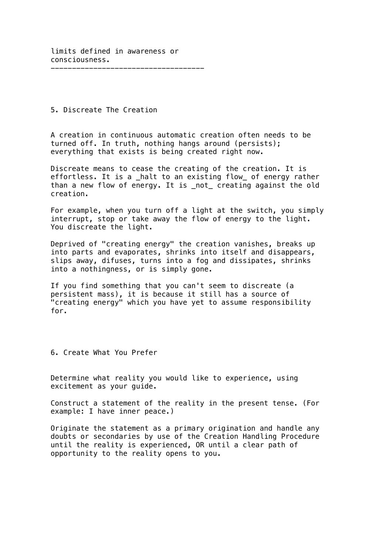5. Discreate The Creation

A creation in continuous automatic creation often needs to be turned off. In truth, nothing hangs around (persists); everything that exists is being created right now.

Discreate means to cease the creating of the creation. It is effortless. It is a \_halt to an existing flow\_ of energy rather than a new flow of energy. It is \_not\_ creating against the old creation.

For example, when you turn off a light at the switch, you simply interrupt, stop or take away the flow of energy to the light. You discreate the light.

Deprived of "creating energy" the creation vanishes, breaks up into parts and evaporates, shrinks into itself and disappears, slips away, difuses, turns into a fog and dissipates, shrinks into a nothingness, or is simply gone.

If you find something that you can't seem to discreate (a persistent mass), it is because it still has a source of "creating energy" which you have yet to assume responsibility for.

6. Create What You Prefer

Determine what reality you would like to experience, using excitement as your guide.

Construct a statement of the reality in the present tense. (For example: I have inner peace.)

Originate the statement as a primary origination and handle any doubts or secondaries by use of the Creation Handling Procedure until the reality is experienced, OR until a clear path of opportunity to the reality opens to you.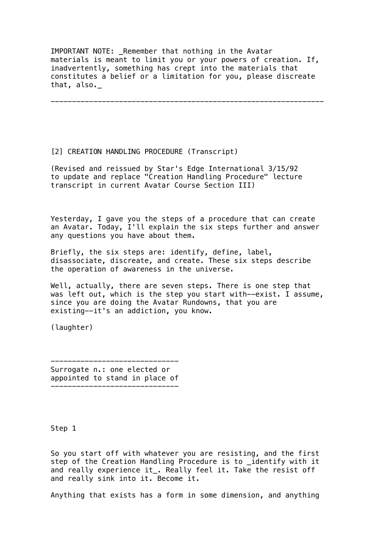IMPORTANT NOTE: Remember that nothing in the Avatar materials is meant to limit you or your powers of creation. If, inadvertently, something has crept into the materials that constitutes a belief or a limitation for you, please discreate that, also.\_

----------------------------------------------------------------

[2] CREATION HANDLING PROCEDURE (Transcript)

(Revised and reissued by Star's Edge International 3/15/92 to update and replace "Creation Handling Procedure" lecture transcript in current Avatar Course Section III)

Yesterday, I gave you the steps of a procedure that can create an Avatar. Today, I'll explain the six steps further and answer any questions you have about them.

Briefly, the six steps are: identify, define, label, disassociate, discreate, and create. These six steps describe the operation of awareness in the universe.

Well, actually, there are seven steps. There is one step that was left out, which is the step you start with--exist. I assume, since you are doing the Avatar Rundowns, that you are existing--it's an addiction, you know.

(laughter)

Surrogate n.: one elected or appointed to stand in place of ------------------------------

------------------------------

Step 1

So you start off with whatever you are resisting, and the first step of the Creation Handling Procedure is to \_identify with it and really experience it\_. Really feel it. Take the resist off and really sink into it. Become it.

Anything that exists has a form in some dimension, and anything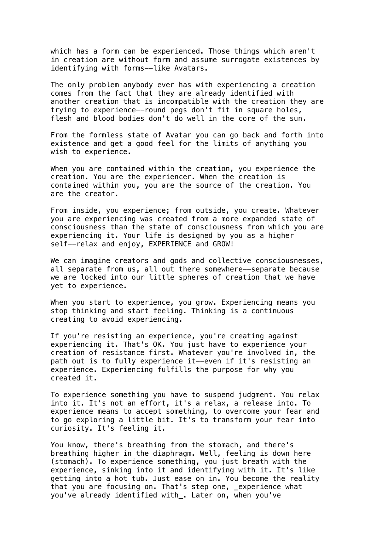which has a form can be experienced. Those things which aren't in creation are without form and assume surrogate existences by identifying with forms--like Avatars.

The only problem anybody ever has with experiencing a creation comes from the fact that they are already identified with another creation that is incompatible with the creation they are trying to experience--round pegs don't fit in square holes, flesh and blood bodies don't do well in the core of the sun.

From the formless state of Avatar you can go back and forth into existence and get a good feel for the limits of anything you wish to experience.

When you are contained within the creation, you experience the creation. You are the experiencer. When the creation is contained within you, you are the source of the creation. You are the creator.

From inside, you experience; from outside, you create. Whatever you are experiencing was created from a more expanded state of consciousness than the state of consciousness from which you are experiencing it. Your life is designed by you as a higher self--relax and enjoy, EXPERIENCE and GROW!

We can imagine creators and gods and collective consciousnesses, all separate from us, all out there somewhere--separate because we are locked into our little spheres of creation that we have yet to experience.

When you start to experience, you grow. Experiencing means you stop thinking and start feeling. Thinking is a continuous creating to avoid experiencing.

If you're resisting an experience, you're creating against experiencing it. That's OK. You just have to experience your creation of resistance first. Whatever you're involved in, the path out is to fully experience it--even if it's resisting an experience. Experiencing fulfills the purpose for why you created it.

To experience something you have to suspend judgment. You relax into it. It's not an effort, it's a relax, a release into. To experience means to accept something, to overcome your fear and to go exploring a little bit. It's to transform your fear into curiosity. It's feeling it.

You know, there's breathing from the stomach, and there's breathing higher in the diaphragm. Well, feeling is down here (stomach). To experience something, you just breath with the experience, sinking into it and identifying with it. It's like getting into a hot tub. Just ease on in. You become the reality that you are focusing on. That's step one, experience what you've already identified with\_. Later on, when you've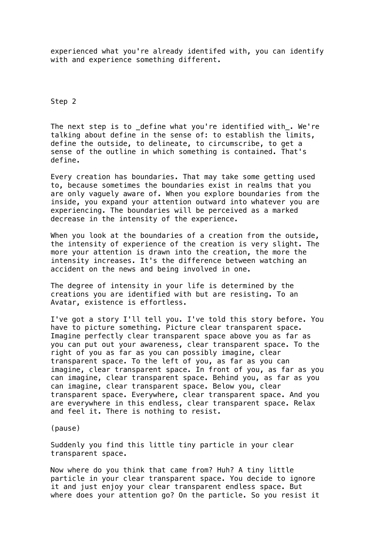experienced what you're already identifed with, you can identify with and experience something different.

Step 2

The next step is to define what you're identified with . We're talking about define in the sense of: to establish the limits, define the outside, to delineate, to circumscribe, to get a sense of the outline in which something is contained. That's define.

Every creation has boundaries. That may take some getting used to, because sometimes the boundaries exist in realms that you are only vaguely aware of. When you explore boundaries from the inside, you expand your attention outward into whatever you are experiencing. The boundaries will be perceived as a marked decrease in the intensity of the experience.

When you look at the boundaries of a creation from the outside, the intensity of experience of the creation is very slight. The more your attention is drawn into the creation, the more the intensity increases. It's the difference between watching an accident on the news and being involved in one.

The degree of intensity in your life is determined by the creations you are identified with but are resisting. To an Avatar, existence is effortless.

I've got a story I'll tell you. I've told this story before. You have to picture something. Picture clear transparent space. Imagine perfectly clear transparent space above you as far as you can put out your awareness, clear transparent space. To the right of you as far as you can possibly imagine, clear transparent space. To the left of you, as far as you can imagine, clear transparent space. In front of you, as far as you can imagine, clear transparent space. Behind you, as far as you can imagine, clear transparent space. Below you, clear transparent space. Everywhere, clear transparent space. And you are everywhere in this endless, clear transparent space. Relax and feel it. There is nothing to resist.

(pause)

Suddenly you find this little tiny particle in your clear transparent space.

Now where do you think that came from? Huh? A tiny little particle in your clear transparent space. You decide to ignore it and just enjoy your clear transparent endless space. But where does your attention go? On the particle. So you resist it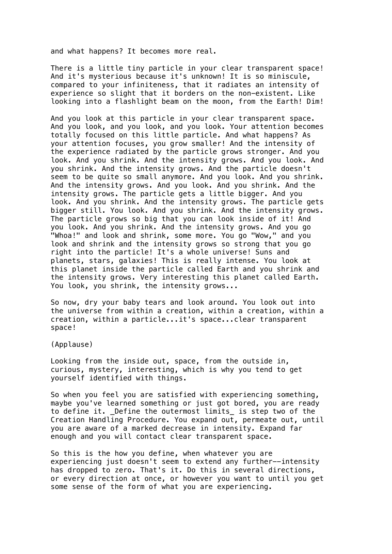and what happens? It becomes more real.

There is a little tiny particle in your clear transparent space! And it's mysterious because it's unknown! It is so miniscule, compared to your infiniteness, that it radiates an intensity of experience so slight that it borders on the non-existent. Like looking into a flashlight beam on the moon, from the Earth! Dim!

And you look at this particle in your clear transparent space. And you look, and you look, and you look. Your attention becomes totally focused on this little particle. And what happens? As your attention focuses, you grow smaller! And the intensity of the experience radiated by the particle grows stronger. And you look. And you shrink. And the intensity grows. And you look. And you shrink. And the intensity grows. And the particle doesn't seem to be quite so small anymore. And you look. And you shrink. And the intensity grows. And you look. And you shrink. And the intensity grows. The particle gets a little bigger. And you look. And you shrink. And the intensity grows. The particle gets bigger still. You look. And you shrink. And the intensity grows. The particle grows so big that you can look inside of it! And you look. And you shrink. And the intensity grows. And you go "Whoa!" and look and shrink, some more. You go "Wow," and you look and shrink and the intensity grows so strong that you go right into the particle! It's a whole universe! Suns and planets, stars, galaxies! This is really intense. You look at this planet inside the particle called Earth and you shrink and the intensity grows. Very interesting this planet called Earth. You look, you shrink, the intensity grows...

So now, dry your baby tears and look around. You look out into the universe from within a creation, within a creation, within a creation, within a particle...it's space...clear transparent space!

(Applause)

Looking from the inside out, space, from the outside in, curious, mystery, interesting, which is why you tend to get yourself identified with things.

So when you feel you are satisfied with experiencing something, maybe you've learned something or just got bored, you are ready to define it. Define the outermost limits\_ is step two of the Creation Handling Procedure. You expand out, permeate out, until you are aware of a marked decrease in intensity. Expand far enough and you will contact clear transparent space.

So this is the how you define, when whatever you are experiencing just doesn't seem to extend any further--intensity has dropped to zero. That's it. Do this in several directions, or every direction at once, or however you want to until you get some sense of the form of what you are experiencing.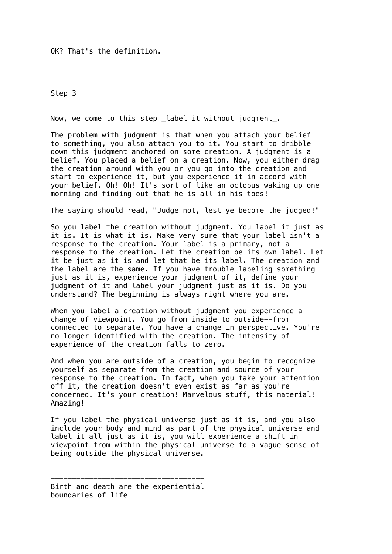OK? That's the definition.

Step 3

Now, we come to this step \_label it without judgment\_.

The problem with judgment is that when you attach your belief to something, you also attach you to it. You start to dribble down this judgment anchored on some creation. A judgment is a belief. You placed a belief on a creation. Now, you either drag the creation around with you or you go into the creation and start to experience it, but you experience it in accord with your belief. Oh! Oh! It's sort of like an octopus waking up one morning and finding out that he is all in his toes!

The saying should read, "Judge not, lest ye become the judged!"

So you label the creation without judgment. You label it just as it is. It is what it is. Make very sure that your label isn't a response to the creation. Your label is a primary, not a response to the creation. Let the creation be its own label. Let it be just as it is and let that be its label. The creation and the label are the same. If you have trouble labeling something just as it is, experience your judgment of it, define your judgment of it and label your judgment just as it is. Do you understand? The beginning is always right where you are.

When you label a creation without judgment you experience a change of viewpoint. You go from inside to outside--from connected to separate. You have a change in perspective. You're no longer identified with the creation. The intensity of experience of the creation falls to zero.

And when you are outside of a creation, you begin to recognize yourself as separate from the creation and source of your response to the creation. In fact, when you take your attention off it, the creation doesn't even exist as far as you're concerned. It's your creation! Marvelous stuff, this material! Amazing!

If you label the physical universe just as it is, and you also include your body and mind as part of the physical universe and label it all just as it is, you will experience a shift in viewpoint from within the physical universe to a vague sense of being outside the physical universe.

<sup>------------------------------------</sup> Birth and death are the experiential boundaries of life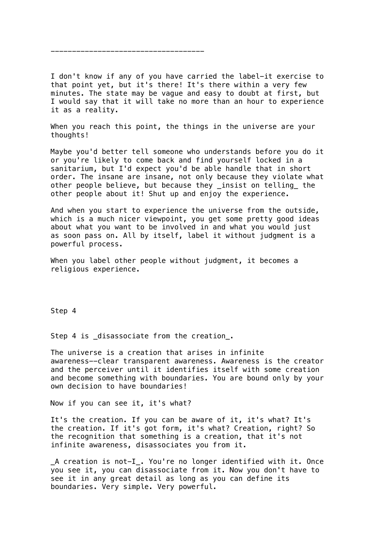I don't know if any of you have carried the label-it exercise to that point yet, but it's there! It's there within a very few minutes. The state may be vague and easy to doubt at first, but I would say that it will take no more than an hour to experience it as a reality.

------------------------------------

When you reach this point, the things in the universe are your thoughts!

Maybe you'd better tell someone who understands before you do it or you're likely to come back and find yourself locked in a sanitarium, but I'd expect you'd be able handle that in short order. The insane are insane, not only because they violate what other people believe, but because they \_insist on telling\_ the other people about it! Shut up and enjoy the experience.

And when you start to experience the universe from the outside, which is a much nicer viewpoint, you get some pretty good ideas about what you want to be involved in and what you would just as soon pass on. All by itself, label it without judgment is a powerful process.

When you label other people without judgment, it becomes a religious experience.

Step 4

Step 4 is \_disassociate from the creation\_.

The universe is a creation that arises in infinite awareness--clear transparent awareness. Awareness is the creator and the perceiver until it identifies itself with some creation and become something with boundaries. You are bound only by your own decision to have boundaries!

Now if you can see it, it's what?

It's the creation. If you can be aware of it, it's what? It's the creation. If it's got form, it's what? Creation, right? So the recognition that something is a creation, that it's not infinite awareness, disassociates you from it.

\_A creation is not-I\_. You're no longer identified with it. Once you see it, you can disassociate from it. Now you don't have to see it in any great detail as long as you can define its boundaries. Very simple. Very powerful.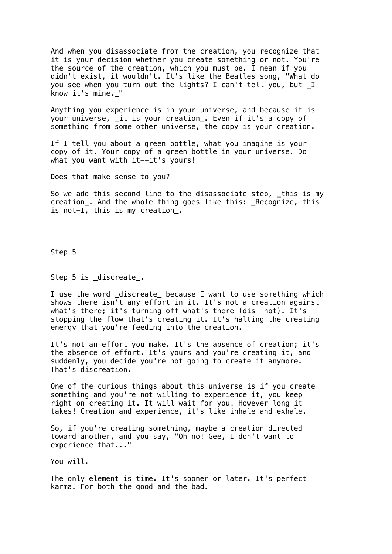And when you disassociate from the creation, you recognize that it is your decision whether you create something or not. You're the source of the creation, which you must be. I mean if you didn't exist, it wouldn't. It's like the Beatles song, "What do you see when you turn out the lights? I can't tell you, but \_I know it's mine.\_"

Anything you experience is in your universe, and because it is your universe, \_it is your creation\_. Even if it's a copy of something from some other universe, the copy is your creation.

If I tell you about a green bottle, what you imagine is your copy of it. Your copy of a green bottle in your universe. Do what you want with it--it's yours!

Does that make sense to you?

So we add this second line to the disassociate step, \_this is my creation\_. And the whole thing goes like this: \_Recognize, this is not-I, this is my creation\_.

Step 5

Step 5 is discreate.

I use the word \_discreate\_ because I want to use something which shows there isn't any effort in it. It's not a creation against what's there; it's turning off what's there (dis- not). It's stopping the flow that's creating it. It's halting the creating energy that you're feeding into the creation.

It's not an effort you make. It's the absence of creation; it's the absence of effort. It's yours and you're creating it, and suddenly, you decide you're not going to create it anymore. That's discreation.

One of the curious things about this universe is if you create something and you're not willing to experience it, you keep right on creating it. It will wait for you! However long it takes! Creation and experience, it's like inhale and exhale.

So, if you're creating something, maybe a creation directed toward another, and you say, "Oh no! Gee, I don't want to experience that..."

You will.

The only element is time. It's sooner or later. It's perfect karma. For both the good and the bad.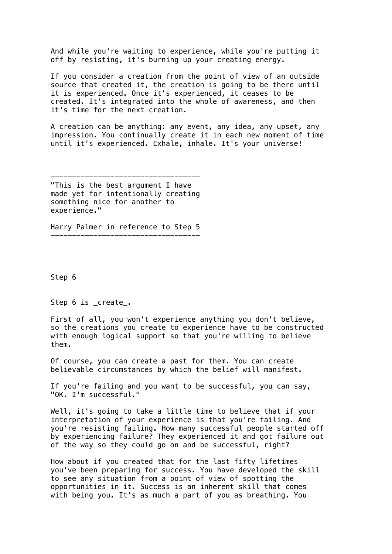And while you're waiting to experience, while you're putting it off by resisting, it's burning up your creating energy.

If you consider a creation from the point of view of an outside source that created it, the creation is going to be there until it is experienced. Once it's experienced, it ceases to be created. It's integrated into the whole of awareness, and then it's time for the next creation.

A creation can be anything: any event, any idea, any upset, any impression. You continually create it in each new moment of time until it's experienced. Exhale, inhale. It's your universe!

-----------------------------------

"This is the best argument I have made yet for intentionally creating something nice for another to experience."

Harry Palmer in reference to Step 5 -----------------------------------

Step 6

Step 6 is create.

First of all, you won't experience anything you don't believe, so the creations you create to experience have to be constructed with enough logical support so that you're willing to believe them.

Of course, you can create a past for them. You can create believable circumstances by which the belief will manifest.

If you're failing and you want to be successful, you can say, "OK. I'm successful."

Well, it's going to take a little time to believe that if your interpretation of your experience is that you're failing. And you're resisting failing. How many successful people started off by experiencing failure? They experienced it and got failure out of the way so they could go on and be successful, right?

How about if you created that for the last fifty lifetimes you've been preparing for success. You have developed the skill to see any situation from a point of view of spotting the opportunities in it. Success is an inherent skill that comes with being you. It's as much a part of you as breathing. You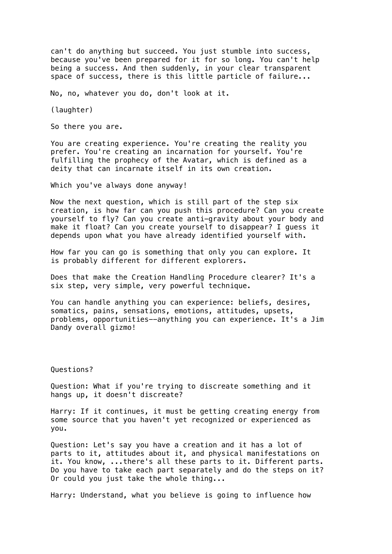can't do anything but succeed. You just stumble into success, because you've been prepared for it for so long. You can't help being a success. And then suddenly, in your clear transparent space of success, there is this little particle of failure...

No, no, whatever you do, don't look at it.

(laughter)

So there you are.

You are creating experience. You're creating the reality you prefer. You're creating an incarnation for yourself. You're fulfilling the prophecy of the Avatar, which is defined as a deity that can incarnate itself in its own creation.

Which you've always done anyway!

Now the next question, which is still part of the step six creation, is how far can you push this procedure? Can you create yourself to fly? Can you create anti-gravity about your body and make it float? Can you create yourself to disappear? I guess it depends upon what you have already identified yourself with.

How far you can go is something that only you can explore. It is probably different for different explorers.

Does that make the Creation Handling Procedure clearer? It's a six step, very simple, very powerful technique.

You can handle anything you can experience: beliefs, desires, somatics, pains, sensations, emotions, attitudes, upsets, problems, opportunities--anything you can experience. It's a Jim Dandy overall gizmo!

Questions?

Question: What if you're trying to discreate something and it hangs up, it doesn't discreate?

Harry: If it continues, it must be getting creating energy from some source that you haven't yet recognized or experienced as you.

Question: Let's say you have a creation and it has a lot of parts to it, attitudes about it, and physical manifestations on it. You know, ...there's all these parts to it. Different parts. Do you have to take each part separately and do the steps on it? Or could you just take the whole thing...

Harry: Understand, what you believe is going to influence how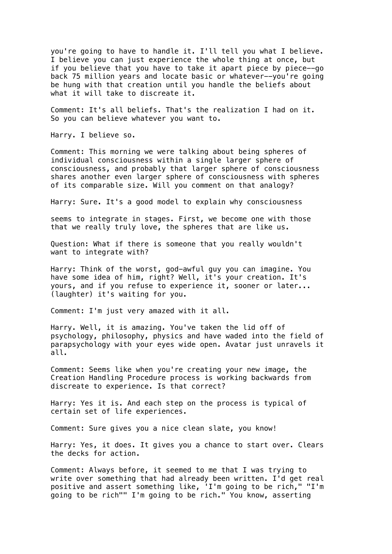you're going to have to handle it. I'll tell you what I believe. I believe you can just experience the whole thing at once, but if you believe that you have to take it apart piece by piece--go back 75 million years and locate basic or whatever--you're going be hung with that creation until you handle the beliefs about what it will take to discreate it.

Comment: It's all beliefs. That's the realization I had on it. So you can believe whatever you want to.

Harry. I believe so.

Comment: This morning we were talking about being spheres of individual consciousness within a single larger sphere of consciousness, and probably that larger sphere of consciousness shares another even larger sphere of consciousness with spheres of its comparable size. Will you comment on that analogy?

Harry: Sure. It's a good model to explain why consciousness

seems to integrate in stages. First, we become one with those that we really truly love, the spheres that are like us.

Question: What if there is someone that you really wouldn't want to integrate with?

Harry: Think of the worst, god-awful guy you can imagine. You have some idea of him, right? Well, it's your creation. It's yours, and if you refuse to experience it, sooner or later... (laughter) it's waiting for you.

Comment: I'm just very amazed with it all.

Harry. Well, it is amazing. You've taken the lid off of psychology, philosophy, physics and have waded into the field of parapsychology with your eyes wide open. Avatar just unravels it all.

Comment: Seems like when you're creating your new image, the Creation Handling Procedure process is working backwards from discreate to experience. Is that correct?

Harry: Yes it is. And each step on the process is typical of certain set of life experiences.

Comment: Sure gives you a nice clean slate, you know!

Harry: Yes, it does. It gives you a chance to start over. Clears the decks for action.

Comment: Always before, it seemed to me that I was trying to write over something that had already been written. I'd get real positive and assert something like, 'I'm going to be rich," "I'm going to be rich"" I'm going to be rich." You know, asserting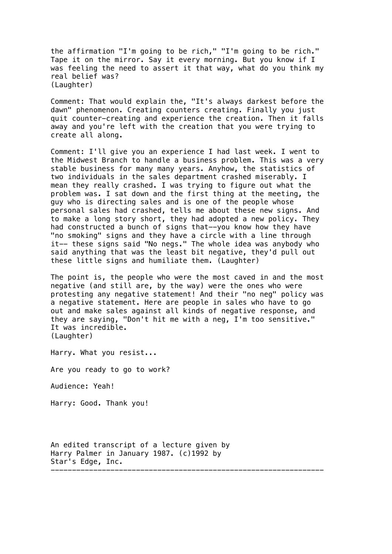the affirmation "I'm going to be rich," "I'm going to be rich." Tape it on the mirror. Say it every morning. But you know if I was feeling the need to assert it that way, what do you think my real belief was? (Laughter)

Comment: That would explain the, "It's always darkest before the dawn" phenomenon. Creating counters creating. Finally you just quit counter-creating and experience the creation. Then it falls away and you're left with the creation that you were trying to create all along.

Comment: I'll give you an experience I had last week. I went to the Midwest Branch to handle a business problem. This was a very stable business for many many years. Anyhow, the statistics of two individuals in the sales department crashed miserably. I mean they really crashed. I was trying to figure out what the problem was. I sat down and the first thing at the meeting, the guy who is directing sales and is one of the people whose personal sales had crashed, tells me about these new signs. And to make a long story short, they had adopted a new policy. They had constructed a bunch of signs that--you know how they have "no smoking" signs and they have a circle with a line through it-- these signs said "No negs." The whole idea was anybody who said anything that was the least bit negative, they'd pull out these little signs and humiliate them. (Laughter)

The point is, the people who were the most caved in and the most negative (and still are, by the way) were the ones who were protesting any negative statement! And their "no neg" policy was a negative statement. Here are people in sales who have to go out and make sales against all kinds of negative response, and they are saying, "Don't hit me with a neg, I'm too sensitive." It was incredible. (Laughter)

Harry. What you resist...

Are you ready to go to work?

Audience: Yeah!

Harry: Good. Thank you!

An edited transcript of a lecture given by Harry Palmer in January 1987. (c)1992 by Star's Edge, Inc. ----------------------------------------------------------------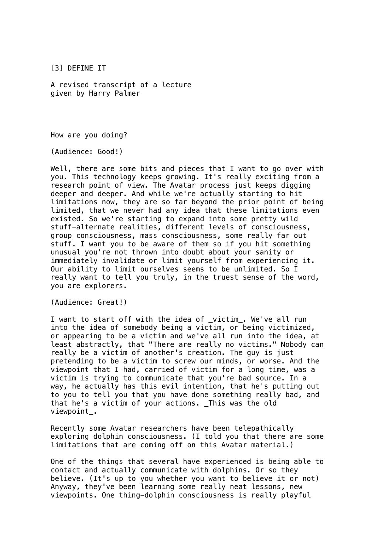[3] DEFINE IT

A revised transcript of a lecture given by Harry Palmer

How are you doing?

(Audience: Good!)

Well, there are some bits and pieces that I want to go over with you. This technology keeps growing. It's really exciting from a research point of view. The Avatar process just keeps digging deeper and deeper. And while we're actually starting to hit limitations now, they are so far beyond the prior point of being limited, that we never had any idea that these limitations even existed. So we're starting to expand into some pretty wild stuff-alternate realities, different levels of consciousness, group consciousness, mass consciousness, some really far out stuff. I want you to be aware of them so if you hit something unusual you're not thrown into doubt about your sanity or immediately invalidate or limit yourself from experiencing it. Our ability to limit ourselves seems to be unlimited. So I really want to tell you truly, in the truest sense of the word, you are explorers.

(Audience: Great!)

I want to start off with the idea of victim. We've all run into the idea of somebody being a victim, or being victimized, or appearing to be a victim and we've all run into the idea. at least abstractly, that "There are really no victims." Nobody can really be a victim of another's creation. The guy is just pretending to be a victim to screw our minds, or worse. And the viewpoint that I had, carried of victim for a long time, was a victim is trying to communicate that you're bad source. In a way, he actually has this evil intention, that he's putting out to you to tell you that you have done something really bad, and that he's a victim of your actions. \_This was the old viewpoint\_.

Recently some Avatar researchers have been telepathically exploring dolphin consciousness. (I told you that there are some limitations that are coming off on this Avatar material.)

One of the things that several have experienced is being able to contact and actually communicate with dolphins. Or so they believe. (It's up to you whether you want to believe it or not) Anyway, they've been learning some really neat lessons, new viewpoints. One thing-dolphin consciousness is really playful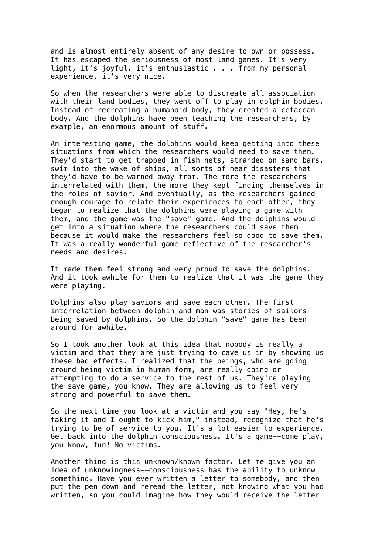and is almost entirely absent of any desire to own or possess. It has escaped the seriousness of most land games. It's very light, it's joyful, it's enthusiastic . . . from my personal experience, it's very nice.

So when the researchers were able to discreate all association with their land bodies, they went off to play in dolphin bodies. Instead of recreating a humanoid body, they created a cetacean body. And the dolphins have been teaching the researchers, by example, an enormous amount of stuff.

An interesting game, the dolphins would keep getting into these situations from which the researchers would need to save them. They'd start to get trapped in fish nets, stranded on sand bars, swim into the wake of ships, all sorts of near disasters that they'd have to be warned away from. The more the researchers interrelated with them, the more they kept finding themselves in the roles of savior. And eventually, as the researchers gained enough courage to relate their experiences to each other, they began to realize that the dolphins were playing a game with them, and the game was the "save" game. And the dolphins would get into a situation where the researchers could save them because it would make the researchers feel so good to save them. It was a really wonderful game reflective of the researcher's needs and desires.

It made them feel strong and very proud to save the dolphins. And it took awhile for them to realize that it was the game they were playing.

Dolphins also play saviors and save each other. The first interrelation between dolphin and man was stories of sailors being saved by dolphins. So the dolphin "save" game has been around for awhile.

So I took another look at this idea that nobody is really a victim and that they are just trying to cave us in by showing us these bad effects. I realized that the beings, who are going around being victim in human form, are really doing or attempting to do a service to the rest of us. They're playing the save game, you know. They are allowing us to feel very strong and powerful to save them.

So the next time you look at a victim and you say "Hey, he's faking it and I ought to kick him," instead, recognize that he's trying to be of service to you. It's a lot easier to experience. Get back into the dolphin consciousness. It's a game--come play, you know, fun! No victims.

Another thing is this unknown/known factor. Let me give you an idea of unknowingness--consciousness has the ability to unknow something. Have you ever written a letter to somebody, and then put the pen down and reread the letter, not knowing what you had written, so you could imagine how they would receive the letter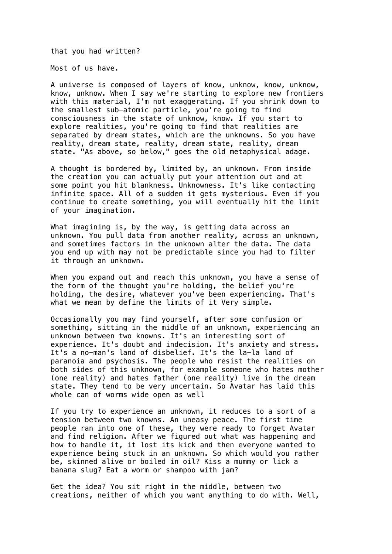that you had written?

Most of us have.

A universe is composed of layers of know, unknow, know, unknow, know, unknow. When I say we're starting to explore new frontiers with this material, I'm not exaggerating. If you shrink down to the smallest sub-atomic particle, you're going to find consciousness in the state of unknow, know. If you start to explore realities, you're going to find that realities are separated by dream states, which are the unknowns. So you have reality, dream state, reality, dream state, reality, dream state. "As above, so below," goes the old metaphysical adage.

A thought is bordered by, limited by, an unknown. From inside the creation you can actually put your attention out and at some point you hit blankness. Unknowness. It's like contacting infinite space. All of a sudden it gets mysterious. Even if you continue to create something, you will eventually hit the limit of your imagination.

What imagining is, by the way, is getting data across an unknown. You pull data from another reality, across an unknown, and sometimes factors in the unknown alter the data. The data you end up with may not be predictable since you had to filter it through an unknown.

When you expand out and reach this unknown, you have a sense of the form of the thought you're holding, the belief you're holding, the desire, whatever you've been experiencing. That's what we mean by define the limits of it Very simple.

Occasionally you may find yourself, after some confusion or something, sitting in the middle of an unknown, experiencing an unknown between two knowns. It's an interesting sort of experience. It's doubt and indecision. It's anxiety and stress. It's a no-man's land of disbelief. It's the la-la land of paranoia and psychosis. The people who resist the realities on both sides of this unknown, for example someone who hates mother (one reality) and hates father (one reality) live in the dream state. They tend to be very uncertain. So Avatar has laid this whole can of worms wide open as well

If you try to experience an unknown, it reduces to a sort of a tension between two knowns. An uneasy peace. The first time people ran into one of these, they were ready to forget Avatar and find religion. After we figured out what was happening and how to handle it, it lost its kick and then everyone wanted to experience being stuck in an unknown. So which would you rather be, skinned alive or boiled in oil? Kiss a mummy or lick a banana slug? Eat a worm or shampoo with jam?

Get the idea? You sit right in the middle, between two creations, neither of which you want anything to do with. Well,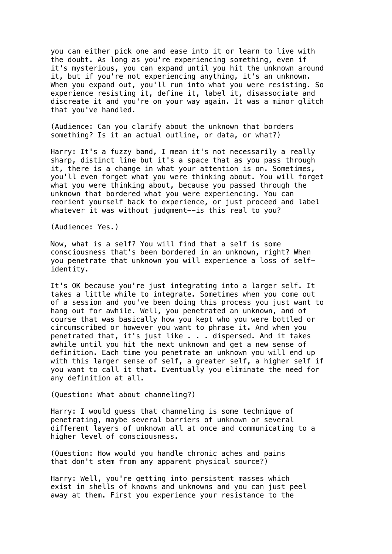you can either pick one and ease into it or learn to live with the doubt. As long as you're experiencing something, even if it's mysterious, you can expand until you hit the unknown around it, but if you're not experiencing anything, it's an unknown. When you expand out, you'll run into what you were resisting. So experience resisting it, define it, label it, disassociate and discreate it and you're on your way again. It was a minor glitch that you've handled.

(Audience: Can you clarify about the unknown that borders something? Is it an actual outline, or data, or what?)

Harry: It's a fuzzy band, I mean it's not necessarily a really sharp, distinct line but it's a space that as you pass through it, there is a change in what your attention is on. Sometimes, you'll even forget what you were thinking about. You will forget what you were thinking about, because you passed through the unknown that bordered what you were experiencing. You can reorient yourself back to experience, or just proceed and label whatever it was without judgment--is this real to you?

(Audience: Yes.)

Now, what is a self? You will find that a self is some consciousness that's been bordered in an unknown, right? When you penetrate that unknown you will experience a loss of selfidentity.

It's OK because you're just integrating into a larger self. It takes a little while to integrate. Sometimes when you come out of a session and you've been doing this process you just want to hang out for awhile. Well, you penetrated an unknown, and of course that was basically how you kept who you were bottled or circumscribed or however you want to phrase it. And when you penetrated that, it's just like . . . dispersed. And it takes awhile until you hit the next unknown and get a new sense of definition. Each time you penetrate an unknown you will end up with this larger sense of self, a greater self, a higher self if you want to call it that. Eventually you eliminate the need for any definition at all.

(Question: What about channeling?)

Harry: I would guess that channeling is some technique of penetrating, maybe several barriers of unknown or several different layers of unknown all at once and communicating to a higher level of consciousness.

(Question: How would you handle chronic aches and pains that don't stem from any apparent physical source?)

Harry: Well, you're getting into persistent masses which exist in shells of knowns and unknowns and you can just peel away at them. First you experience your resistance to the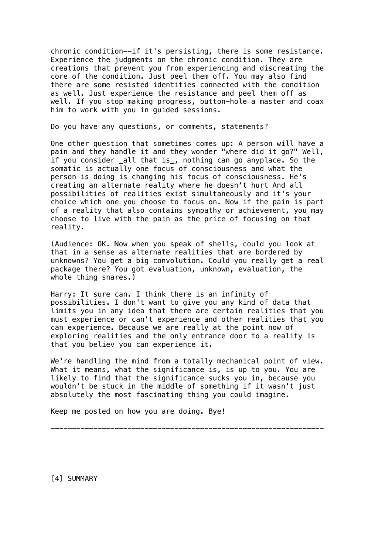chronic condition--if it's persisting, there is some resistance. Experience the judgments on the chronic condition. They are creations that prevent you from experiencing and discreating the core of the condition. Just peel them off. You may also find there are some resisted identities connected with the condition as well. Just experience the resistance and peel them off as well. If you stop making progress, button-hole a master and coax him to work with you in guided sessions.

Do you have any questions, or comments, statements?

One other question that sometimes comes up: A person will have a pain and they handle it and they wonder "where did it go?" Well, if you consider \_all that is\_, nothing can go anyplace. So the somatic is actually one focus of consciousness and what the person is doing is changing his focus of consciousness. He's creating an alternate reality where he doesn't hurt And all possibilities of realities exist simultaneously and it's your choice which one you choose to focus on. Now if the pain is part of a reality that also contains sympathy or achievement, you may choose to live with the pain as the price of focusing on that reality.

(Audience: OK. Now when you speak of shells, could you look at that in a sense as alternate realities that are bordered by unknowns? You get a big convolution. Could you really get a real package there? You got evaluation, unknown, evaluation, the whole thing snares.)

Harry: It sure can. I think there is an infinity of possibilities. I don't want to give you any kind of data that limits you in any idea that there are certain realities that you must experience or can't experience and other realities that you can experience. Because we are really at the point now of exploring realities and the only entrance door to a reality is that you believ you can experience it.

We're handling the mind from a totally mechanical point of view. What it means, what the significance is, is up to you. You are likely to find that the significance sucks you in, because you wouldn't be stuck in the middle of something if it wasn't just absolutely the most fascinating thing you could imagine.

Keep me posted on how you are doing. Bye!

----------------------------------------------------------------

[4] SUMMARY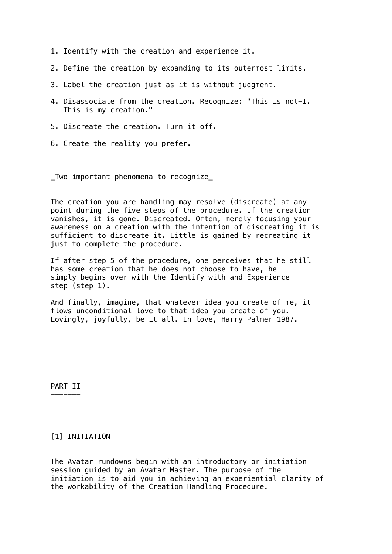- 1. Identify with the creation and experience it.
- 2. Define the creation by expanding to its outermost limits.
- 3. Label the creation just as it is without judgment.
- 4. Disassociate from the creation. Recognize: "This is not-I. This is my creation."
- 5. Discreate the creation. Turn it off.
- 6. Create the reality you prefer.

\_Two important phenomena to recognize\_

The creation you are handling may resolve (discreate) at any point during the five steps of the procedure. If the creation vanishes, it is gone. Discreated. Often, merely focusing your awareness on a creation with the intention of discreating it is sufficient to discreate it. Little is gained by recreating it just to complete the procedure.

If after step 5 of the procedure, one perceives that he still has some creation that he does not choose to have, he simply begins over with the Identify with and Experience step (step 1).

And finally, imagine, that whatever idea you create of me, it flows unconditional love to that idea you create of you. Lovingly, joyfully, be it all. In love, Harry Palmer 1987.

----------------------------------------------------------------

PART II -------

## [1] INITIATION

The Avatar rundowns begin with an introductory or initiation session guided by an Avatar Master. The purpose of the initiation is to aid you in achieving an experiential clarity of the workability of the Creation Handling Procedure.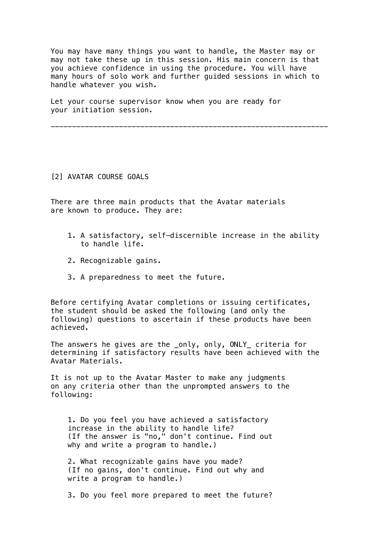You may have many things you want to handle, the Master may or may not take these up in this session. His main concern is that you achieve confidence in using the procedure. You will have many hours of solo work and further guided sessions in which to handle whatever you wish.

Let your course supervisor know when you are ready for your initiation session.

-----------------------------------------------------------------

### [2] AVATAR COURSE GOALS

There are three main products that the Avatar materials are known to produce. They are:

- 1. A satisfactory, self-discernible increase in the ability to handle life.
- 2. Recognizable gains.
- 3. A preparedness to meet the future.

Before certifying Avatar completions or issuing certificates, the student should be asked the following (and only the following) questions to ascertain if these products have been achieved.

The answers he gives are the \_only, only, ONLY\_ criteria for determining if satisfactory results have been achieved with the Avatar Materials.

It is not up to the Avatar Master to make any judgments on any criteria other than the unprompted answers to the following:

 1. Do you feel you have achieved a satisfactory increase in the ability to handle life? (If the answer is "no," don't continue. Find out why and write a program to handle.)

 2. What recognizable gains have you made? (If no gains, don't continue. Find out why and write a program to handle.)

3. Do you feel more prepared to meet the future?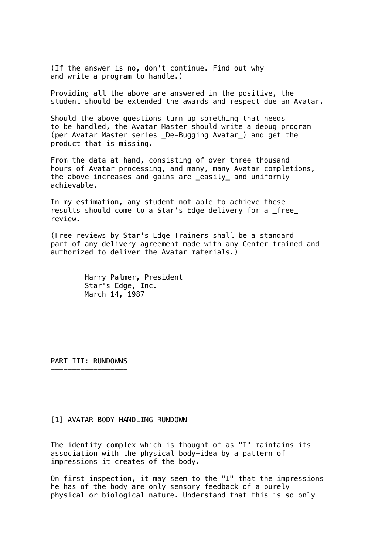(If the answer is no, don't continue. Find out why and write a program to handle.)

Providing all the above are answered in the positive, the student should be extended the awards and respect due an Avatar.

Should the above questions turn up something that needs to be handled, the Avatar Master should write a debug program (per Avatar Master series \_De-Bugging Avatar\_) and get the product that is missing.

From the data at hand, consisting of over three thousand hours of Avatar processing, and many, many Avatar completions, the above increases and gains are \_easily\_ and uniformly achievable.

In my estimation, any student not able to achieve these results should come to a Star's Edge delivery for a \_free\_ review.

(Free reviews by Star's Edge Trainers shall be a standard part of any delivery agreement made with any Center trained and authorized to deliver the Avatar materials.)

----------------------------------------------------------------

 Harry Palmer, President Star's Edge, Inc. March 14, 1987

PART III: RUNDOWNS ------------------

#### [1] AVATAR BODY HANDLING RUNDOWN

The identity-complex which is thought of as "I" maintains its association with the physical body-idea by a pattern of impressions it creates of the body.

On first inspection, it may seem to the "I" that the impressions he has of the body are only sensory feedback of a purely physical or biological nature. Understand that this is so only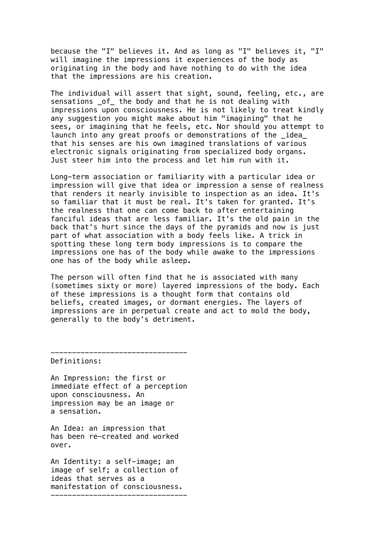because the "I" believes it. And as long as "I" believes it, "I" will imagine the impressions it experiences of the body as originating in the body and have nothing to do with the idea that the impressions are his creation.

The individual will assert that sight, sound, feeling, etc., are sensations \_of\_ the body and that he is not dealing with impressions upon consciousness. He is not likely to treat kindly any suggestion you might make about him "imagining" that he sees, or imagining that he feels, etc. Nor should you attempt to launch into any great proofs or demonstrations of the \_idea\_ that his senses are his own imagined translations of various electronic signals originating from specialized body organs. Just steer him into the process and let him run with it.

Long-term association or familiarity with a particular idea or impression will give that idea or impression a sense of realness that renders it nearly invisible to inspection as an idea. It's so familiar that it must be real. It's taken for granted. It's the realness that one can come back to after entertaining fanciful ideas that are less familiar. It's the old pain in the back that's hurt since the days of the pyramids and now is just part of what association with a body feels like. A trick in spotting these long term body impressions is to compare the impressions one has of the body while awake to the impressions one has of the body while asleep.

The person will often find that he is associated with many (sometimes sixty or more) layered impressions of the body. Each of these impressions is a thought form that contains old beliefs, created images, or dormant energies. The layers of impressions are in perpetual create and act to mold the body, generally to the body's detriment.

Definitions:

An Impression: the first or immediate effect of a perception upon consciousness. An impression may be an image or a sensation.

--------------------------------

An Idea: an impression that has been re-created and worked over.

An Identity: a self-image; an image of self; a collection of ideas that serves as a manifestation of consciousness. --------------------------------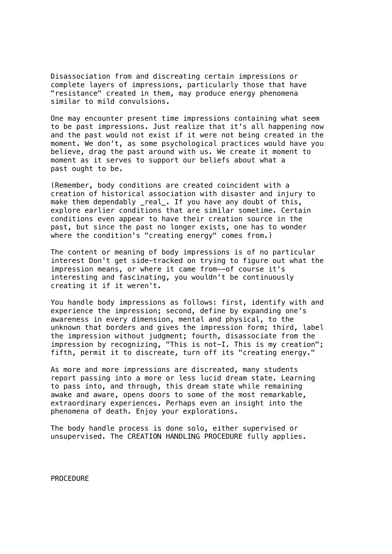Disassociation from and discreating certain impressions or complete layers of impressions, particularly those that have "resistance" created in them, may produce energy phenomena similar to mild convulsions.

One may encounter present time impressions containing what seem to be past impressions. Just realize that it's all happening now and the past would not exist if it were not being created in the moment. We don't, as some psychological practices would have you believe, drag the past around with us. We create it moment to moment as it serves to support our beliefs about what a past ought to be.

(Remember, body conditions are created coincident with a creation of historical association with disaster and injury to make them dependably \_real\_. If you have any doubt of this, explore earlier conditions that are similar sometime. Certain conditions even appear to have their creation source in the past, but since the past no longer exists, one has to wonder where the condition's "creating energy" comes from.)

The content or meaning of body impressions is of no particular interest Don't get side-tracked on trying to figure out what the impression means, or where it came from--of course it's interesting and fascinating, you wouldn't be continuously creating it if it weren't.

You handle body impressions as follows: first, identify with and experience the impression; second, define by expanding one's awareness in every dimension, mental and physical, to the unknown that borders and gives the impression form; third, label the impression without judgment; fourth, disassociate from the impression by recognizing, "This is not-I. This is my creation"; fifth, permit it to discreate, turn off its "creating energy."

As more and more impressions are discreated, many students report passing into a more or less lucid dream state. Learning to pass into, and through, this dream state while remaining awake and aware, opens doors to some of the most remarkable, extraordinary experiences. Perhaps even an insight into the phenomena of death. Enjoy your explorations.

The body handle process is done solo, either supervised or unsupervised. The CREATION HANDLING PROCEDURE fully applies.

PROCEDURE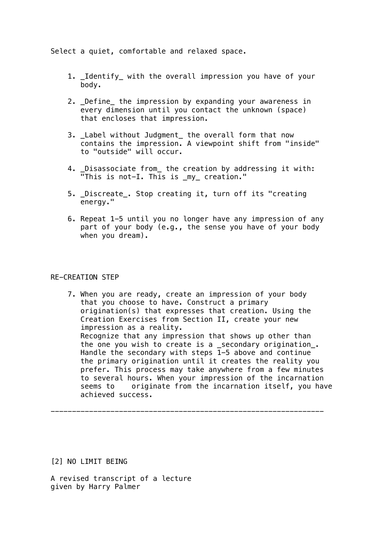Select a quiet, comfortable and relaxed space.

- 1. Identify with the overall impression you have of your body.
- 2. \_Define\_ the impression by expanding your awareness in every dimension until you contact the unknown (space) that encloses that impression.
- 3. \_Label without Judgment\_ the overall form that now contains the impression. A viewpoint shift from "inside" to "outside" will occur.
- 4. \_Disassociate from\_ the creation by addressing it with: "This is not-I. This is \_my\_ creation."
- 5. \_Discreate\_. Stop creating it, turn off its "creating energy."
- 6. Repeat 1-5 until you no longer have any impression of any part of your body (e.g., the sense you have of your body when you dream).

# RE-CREATION STEP

 7. When you are ready, create an impression of your body that you choose to have. Construct a primary origination(s) that expresses that creation. Using the Creation Exercises from Section II, create your new impression as a reality. Recognize that any impression that shows up other than the one you wish to create is a \_secondary origination\_. Handle the secondary with steps 1-5 above and continue the primary origination until it creates the reality you prefer. This process may take anywhere from a few minutes to several hours. When your impression of the incarnation seems to originate from the incarnation itself, you have achieved success.

----------------------------------------------------------------

[2] NO LIMIT BEING

A revised transcript of a lecture given by Harry Palmer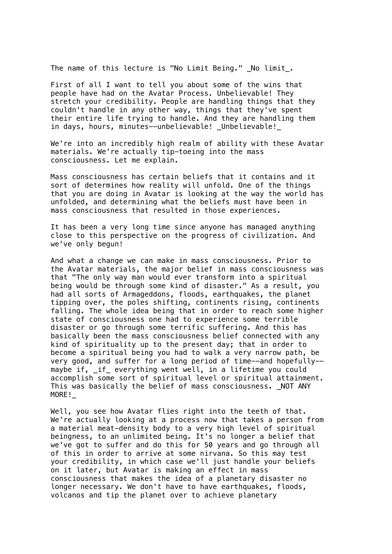The name of this lecture is "No Limit Being." \_No limit\_.

First of all I want to tell you about some of the wins that people have had on the Avatar Process. Unbelievable! They stretch your credibility. People are handling things that they couldn't handle in any other way, things that they've spent their entire life trying to handle. And they are handling them in days, hours, minutes--unbelievable! Unbelievable!

We're into an incredibly high realm of ability with these Avatar materials. We're actually tip-toeing into the mass consciousness. Let me explain.

Mass consciousness has certain beliefs that it contains and it sort of determines how reality will unfold. One of the things that you are doing in Avatar is looking at the way the world has unfolded, and determining what the beliefs must have been in mass consciousness that resulted in those experiences.

It has been a very long time since anyone has managed anything close to this perspective on the progress of civilization. And we've only begun!

And what a change we can make in mass consciousness. Prior to the Avatar materials, the major belief in mass consciousness was that "The only way man would ever transform into a spiritual being would be through some kind of disaster." As a result, you had all sorts of Armageddons, floods, earthquakes, the planet tipping over, the poles shifting, continents rising, continents falling. The whole idea being that in order to reach some higher state of consciousness one had to experience some terrible disaster or go through some terrific suffering. And this has basically been the mass consciousness belief connected with any kind of spirituality up to the present day; that in order to become a spiritual being you had to walk a very narrow path, be very good, and suffer for a long period of time--and hopefully- maybe if, \_if\_ everything went well, in a lifetime you could accomplish some sort of spiritual level or spiritual attainment. This was basically the belief of mass consciousness. NOT ANY MORE!\_

Well, you see how Avatar flies right into the teeth of that. We're actually looking at a process now that takes a person from a material meat-density body to a very high level of spiritual beingness, to an unlimited being. It's no longer a belief that we've got to suffer and do this for 50 years and go through all of this in order to arrive at some nirvana. So this may test your credibility, in which case we'll just handle your beliefs on it later, but Avatar is making an effect in mass consciousness that makes the idea of a planetary disaster no longer necessary. We don't have to have earthquakes, floods, volcanos and tip the planet over to achieve planetary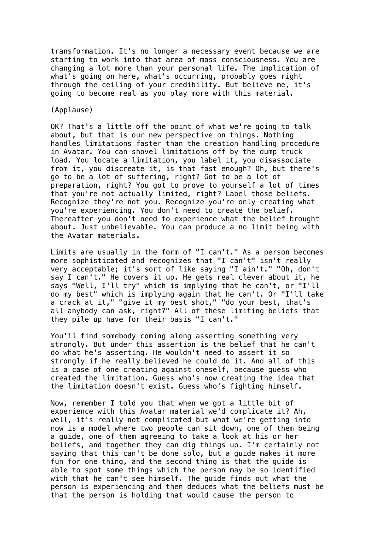transformation. It's no longer a necessary event because we are starting to work into that area of mass consciousness. You are changing a lot more than your personal life. The implication of what's going on here, what's occurring, probably goes right through the ceiling of your credibility. But believe me, it's going to become real as you play more with this material.

## (Applause)

OK? That's a little off the point of what we're going to talk about, but that is our new perspective on things. Nothing handles limitations faster than the creation handling procedure in Avatar. You can shovel limitations off by the dump truck load. You locate a limitation, you label it, you disassociate from it, you discreate it, is that fast enough? Oh, but there's go to be a lot of suffering, right? Got to be a lot of preparation, right? You got to prove to yourself a lot of times that you're not actually limited, right? Label those beliefs. Recognize they're not you. Recognize you're only creating what you're experiencing. You don't need to create the belief. Thereafter you don't need to experience what the belief brought about. Just unbelievable. You can produce a no limit being with the Avatar materials.

Limits are usually in the form of "I can't." As a person becomes more sophisticated and recognizes that "I can't" isn't really very acceptable; it's sort of like saying "I ain't." "Oh, don't say I can't." He covers it up. He gets real clever about it, he says "Well, I'll try" which is implying that he can't, or "I'll do my best" which is implying again that he can't. Or "I'll take a crack at it," "give it my best shot," "do your best, that's all anybody can ask, right?" All of these limiting beliefs that they pile up have for their basis "I can't."

You'll find somebody coming along asserting something very strongly. But under this assertion is the belief that he can't do what he's asserting. He wouldn't need to assert it so strongly if he really believed he could do it. And all of this is a case of one creating against oneself, because guess who created the limitation. Guess who's now creating the idea that the limitation doesn't exist. Guess who's fighting himself.

Now, remember I told you that when we got a little bit of experience with this Avatar material we'd complicate it? Ah, well, it's really not complicated but what we're getting into now is a model where two people can sit down, one of them being a guide, one of them agreeing to take a look at his or her beliefs, and together they can dig things up. I'm certainly not saying that this can't be done solo, but a guide makes it more fun for one thing, and the second thing is that the guide is able to spot some things which the person may be so identified with that he can't see himself. The guide finds out what the person is experiencing and then deduces what the beliefs must be that the person is holding that would cause the person to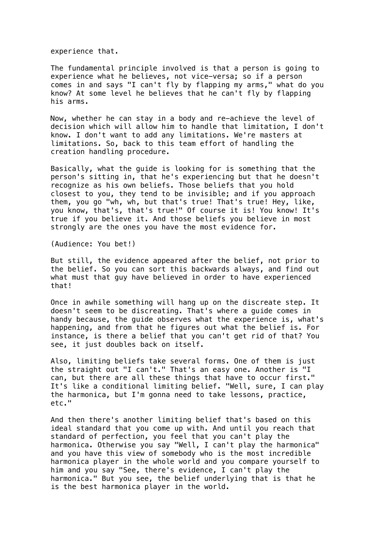experience that.

The fundamental principle involved is that a person is going to experience what he believes, not vice-versa; so if a person comes in and says "I can't fly by flapping my arms," what do you know? At some level he believes that he can't fly by flapping his arms.

Now, whether he can stay in a body and re-achieve the level of decision which will allow him to handle that limitation, I don't know. I don't want to add any limitations. We're masters at limitations. So, back to this team effort of handling the creation handling procedure.

Basically, what the guide is looking for is something that the person's sitting in, that he's experiencing but that he doesn't recognize as his own beliefs. Those beliefs that you hold closest to you, they tend to be invisible; and if you approach them, you go "wh, wh, but that's true! That's true! Hey, like, you know, that's, that's true!" Of course it is! You know! It's true if you believe it. And those beliefs you believe in most strongly are the ones you have the most evidence for.

(Audience: You bet!)

But still, the evidence appeared after the belief, not prior to the belief. So you can sort this backwards always, and find out what must that guy have believed in order to have experienced that!

Once in awhile something will hang up on the discreate step. It doesn't seem to be discreating. That's where a guide comes in handy because, the guide observes what the experience is, what's happening, and from that he figures out what the belief is. For instance, is there a belief that you can't get rid of that? You see, it just doubles back on itself.

Also, limiting beliefs take several forms. One of them is just the straight out "I can't." That's an easy one. Another is "I can, but there are all these things that have to occur first." It's like a conditional limiting belief. "Well, sure, I can play the harmonica, but I'm gonna need to take lessons, practice, etc."

And then there's another limiting belief that's based on this ideal standard that you come up with. And until you reach that standard of perfection, you feel that you can't play the harmonica. Otherwise you say "Well, I can't play the harmonica" and you have this view of somebody who is the most incredible harmonica player in the whole world and you compare yourself to him and you say "See, there's evidence, I can't play the harmonica." But you see, the belief underlying that is that he is the best harmonica player in the world.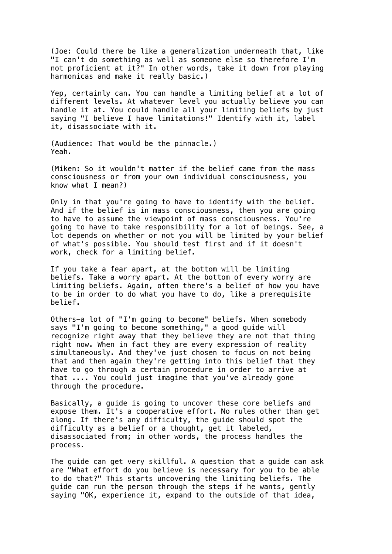(Joe: Could there be like a generalization underneath that, like "I can't do something as well as someone else so therefore I'm not proficient at it?" In other words, take it down from playing harmonicas and make it really basic.)

Yep, certainly can. You can handle a limiting belief at a lot of different levels. At whatever level you actually believe you can handle it at. You could handle all your limiting beliefs by just saying "I believe I have limitations!" Identify with it, label it, disassociate with it.

(Audience: That would be the pinnacle.) Yeah.

(Miken: So it wouldn't matter if the belief came from the mass consciousness or from your own individual consciousness, you know what I mean?)

Only in that you're going to have to identify with the belief. And if the belief is in mass consciousness, then you are going to have to assume the viewpoint of mass consciousness. You're going to have to take responsibility for a lot of beings. See, a lot depends on whether or not you will be limited by your belief of what's possible. You should test first and if it doesn't work, check for a limiting belief.

If you take a fear apart, at the bottom will be limiting beliefs. Take a worry apart. At the bottom of every worry are limiting beliefs. Again, often there's a belief of how you have to be in order to do what you have to do, like a prerequisite belief.

Others-a lot of "I'm going to become" beliefs. When somebody says "I'm going to become something," a good guide will recognize right away that they believe they are not that thing right now. When in fact they are every expression of reality simultaneously. And they've just chosen to focus on not being that and then again they're getting into this belief that they have to go through a certain procedure in order to arrive at that .... You could just imagine that you've already gone through the procedure.

Basically, a guide is going to uncover these core beliefs and expose them. It's a cooperative effort. No rules other than get along. If there's any difficulty, the guide should spot the difficulty as a belief or a thought, get it labeled, disassociated from; in other words, the process handles the process.

The guide can get very skillful. A question that a guide can ask are "What effort do you believe is necessary for you to be able to do that?" This starts uncovering the limiting beliefs. The guide can run the person through the steps if he wants, gently saying "OK, experience it, expand to the outside of that idea,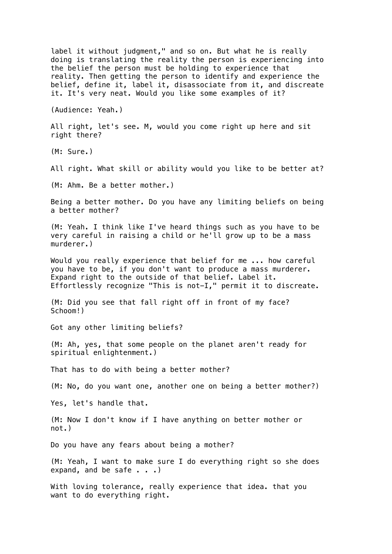label it without judgment," and so on. But what he is really doing is translating the reality the person is experiencing into the belief the person must be holding to experience that reality. Then getting the person to identify and experience the belief, define it, label it, disassociate from it, and discreate it. It's very neat. Would you like some examples of it?

(Audience: Yeah.)

All right, let's see. M, would you come right up here and sit right there?

(M: Sure.)

All right. What skill or ability would you like to be better at?

(M: Ahm. Be a better mother.)

Being a better mother. Do you have any limiting beliefs on being a better mother?

(M: Yeah. I think like I've heard things such as you have to be very careful in raising a child or he'll grow up to be a mass murderer.)

Would you really experience that belief for me ... how careful you have to be, if you don't want to produce a mass murderer. Expand right to the outside of that belief. Label it. Effortlessly recognize "This is not-I," permit it to discreate.

(M: Did you see that fall right off in front of my face? Schoom!)

Got any other limiting beliefs?

(M: Ah, yes, that some people on the planet aren't ready for spiritual enlightenment.)

That has to do with being a better mother?

(M: No, do you want one, another one on being a better mother?)

Yes, let's handle that.

(M: Now I don't know if I have anything on better mother or not.)

Do you have any fears about being a mother?

(M: Yeah, I want to make sure I do everything right so she does expand, and be safe  $\ldots$ .

With loving tolerance, really experience that idea. that you want to do everything right.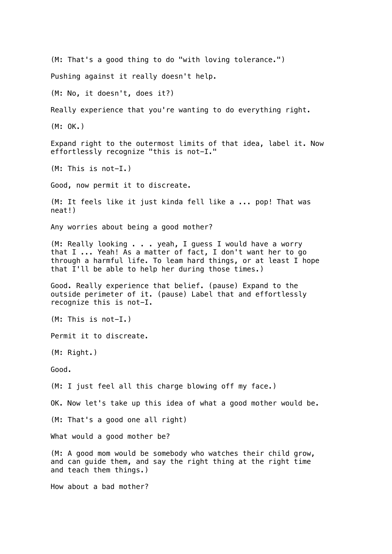(M: That's a good thing to do "with loving tolerance.") Pushing against it really doesn't help. (M: No, it doesn't, does it?) Really experience that you're wanting to do everything right. (M: OK.) Expand right to the outermost limits of that idea, label it. Now effortlessly recognize "this is not-I." (M: This is not-I.) Good, now permit it to discreate. (M: It feels like it just kinda fell like a ... pop! That was neat!) Any worries about being a good mother? (M: Really looking . . . yeah, I guess I would have a worry that I ... Yeah! As a matter of fact, I don't want her to go through a harmful life. To leam hard things, or at least I hope that I'll be able to help her during those times.) Good. Really experience that belief. (pause) Expand to the outside perimeter of it. (pause) Label that and effortlessly recognize this is not-I. (M: This is not-I.) Permit it to discreate. (M: Right.) Good. (M: I just feel all this charge blowing off my face.) OK. Now let's take up this idea of what a good mother would be. (M: That's a good one all right) What would a good mother be? (M: A good mom would be somebody who watches their child grow, and can guide them, and say the right thing at the right time and teach them things.) How about a bad mother?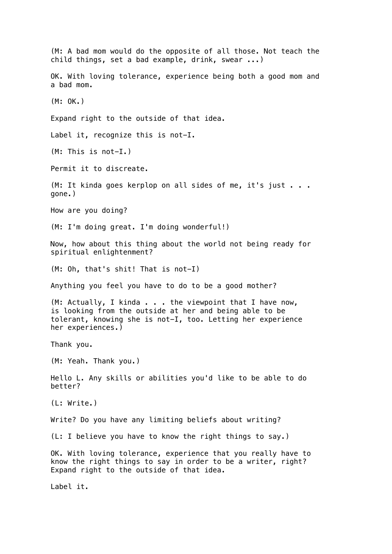(M: A bad mom would do the opposite of all those. Not teach the child things, set a bad example, drink, swear ...) OK. With loving tolerance, experience being both a good mom and a bad mom. (M: OK.) Expand right to the outside of that idea. Label it, recognize this is not-I. (M: This is not-I.) Permit it to discreate. (M: It kinda goes kerplop on all sides of me, it's just . . . gone.) How are you doing? (M: I'm doing great. I'm doing wonderful!) Now, how about this thing about the world not being ready for spiritual enlightenment? (M: Oh, that's shit! That is not-I) Anything you feel you have to do to be a good mother? (M: Actually, I kinda . . . the viewpoint that I have now, is looking from the outside at her and being able to be tolerant, knowing she is not-I, too. Letting her experience her experiences.) Thank you. (M: Yeah. Thank you.) Hello L. Any skills or abilities you'd like to be able to do better? (L: Write.) Write? Do you have any limiting beliefs about writing? (L: I believe you have to know the right things to say.) OK. With loving tolerance, experience that you really have to know the right things to say in order to be a writer, right? Expand right to the outside of that idea. Label it.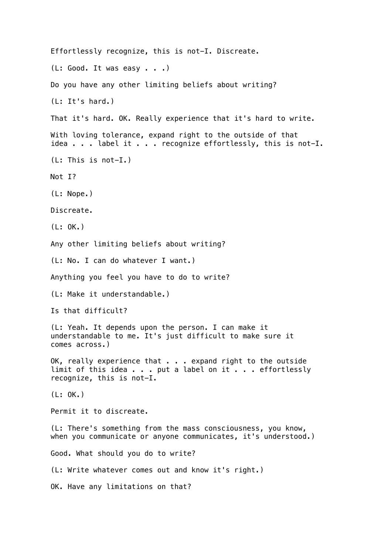Effortlessly recognize, this is not-I. Discreate.  $(L: Good. It was easy . . .)$ Do you have any other limiting beliefs about writing? (L: It's hard.) That it's hard. OK. Really experience that it's hard to write. With loving tolerance, expand right to the outside of that idea . . . label it . . . recognize effortlessly, this is not-I. (L: This is not-I.) Not I? (L: Nope.) Discreate. (L: OK.) Any other limiting beliefs about writing? (L: No. I can do whatever I want.) Anything you feel you have to do to write? (L: Make it understandable.) Is that difficult? (L: Yeah. It depends upon the person. I can make it understandable to me. It's just difficult to make sure it comes across.) OK, really experience that . . . expand right to the outside limit of this idea . . . put a label on it . . . effortlessly recognize, this is not-I. (L: OK.) Permit it to discreate. (L: There's something from the mass consciousness, you know, when you communicate or anyone communicates, it's understood.) Good. What should you do to write? (L: Write whatever comes out and know it's right.) OK. Have any limitations on that?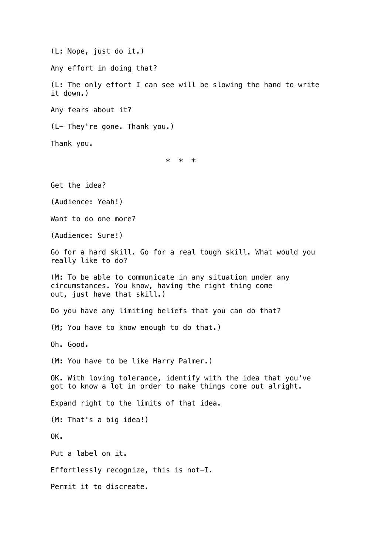(L: Nope, just do it.) Any effort in doing that? (L: The only effort I can see will be slowing the hand to write it down.) Any fears about it? (L- They're gone. Thank you.) Thank you. \* \* \* Get the idea? (Audience: Yeah!) Want to do one more? (Audience: Sure!) Go for a hard skill. Go for a real tough skill. What would you really like to do? (M: To be able to communicate in any situation under any circumstances. You know, having the right thing come out, just have that skill.) Do you have any limiting beliefs that you can do that? (M; You have to know enough to do that.) Oh. Good. (M: You have to be like Harry Palmer.) OK. With loving tolerance, identify with the idea that you've got to know a lot in order to make things come out alright. Expand right to the limits of that idea. (M: That's a big idea!) OK. Put a label on it. Effortlessly recognize, this is not-I. Permit it to discreate.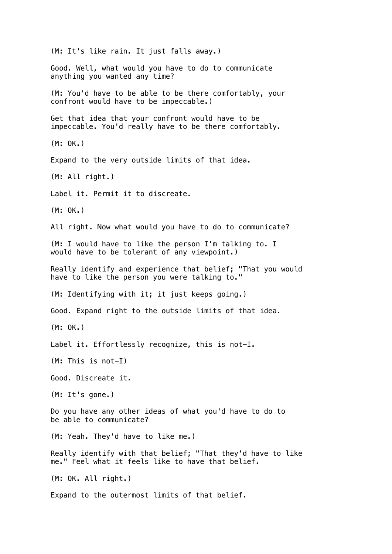(M: It's like rain. It just falls away.) Good. Well, what would you have to do to communicate anything you wanted any time? (M: You'd have to be able to be there comfortably, your confront would have to be impeccable.) Get that idea that your confront would have to be impeccable. You'd really have to be there comfortably. (M: OK.) Expand to the very outside limits of that idea. (M: All right.) Label it. Permit it to discreate. (M: OK.) All right. Now what would you have to do to communicate? (M: I would have to like the person I'm talking to. I would have to be tolerant of any viewpoint.) Really identify and experience that belief; "That you would have to like the person you were talking to." (M: Identifying with it; it just keeps going.) Good. Expand right to the outside limits of that idea. (M: OK.) Label it. Effortlessly recognize, this is not-I. (M: This is not-I) Good. Discreate it. (M: It's gone.) Do you have any other ideas of what you'd have to do to be able to communicate? (M: Yeah. They'd have to like me.) Really identify with that belief; "That they'd have to like me." Feel what it feels like to have that belief. (M: OK. All right.) Expand to the outermost limits of that belief.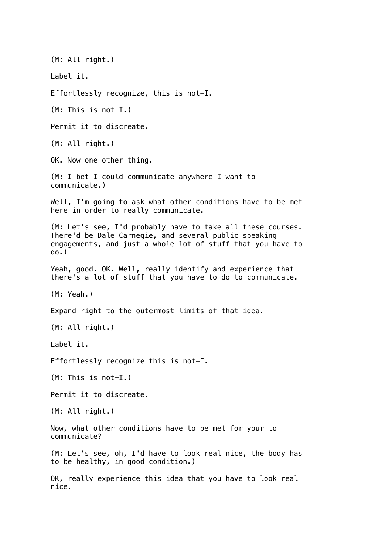(M: All right.) Label it. Effortlessly recognize, this is not-I. (M: This is not-I.) Permit it to discreate. (M: All right.) OK. Now one other thing. (M: I bet I could communicate anywhere I want to communicate.) Well, I'm going to ask what other conditions have to be met here in order to really communicate. (M: Let's see, I'd probably have to take all these courses. There'd be Dale Carnegie, and several public speaking engagements, and just a whole lot of stuff that you have to do.) Yeah, good. OK. Well, really identify and experience that there's a lot of stuff that you have to do to communicate. (M: Yeah.) Expand right to the outermost limits of that idea. (M: All right.) Label it. Effortlessly recognize this is not-I. (M: This is not-I.) Permit it to discreate. (M: All right.) Now, what other conditions have to be met for your to communicate? (M: Let's see, oh, I'd have to look real nice, the body has to be healthy, in good condition.) OK, really experience this idea that you have to look real nice.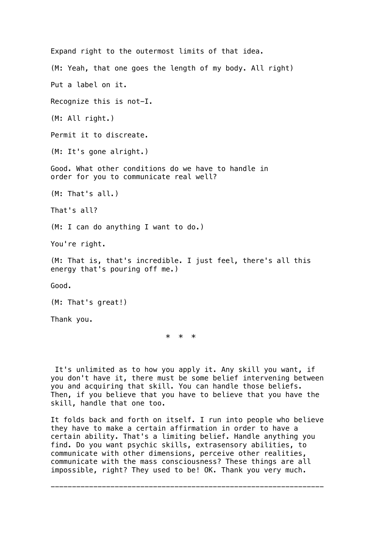Expand right to the outermost limits of that idea. (M: Yeah, that one goes the length of my body. All right) Put a label on it. Recognize this is not-I. (M: All right.) Permit it to discreate. (M: It's gone alright.) Good. What other conditions do we have to handle in order for you to communicate real well? (M: That's all.) That's all? (M: I can do anything I want to do.) You're right. (M: That is, that's incredible. I just feel, there's all this energy that's pouring off me.) Good. (M: That's great!) Thank you.

\* \* \*

 It's unlimited as to how you apply it. Any skill you want, if you don't have it, there must be some belief intervening between you and acquiring that skill. You can handle those beliefs. Then, if you believe that you have to believe that you have the skill, handle that one too.

It folds back and forth on itself. I run into people who believe they have to make a certain affirmation in order to have a certain ability. That's a limiting belief. Handle anything you find. Do you want psychic skills, extrasensory abilities, to communicate with other dimensions, perceive other realities, communicate with the mass consciousness? These things are all impossible, right? They used to be! OK. Thank you very much.

----------------------------------------------------------------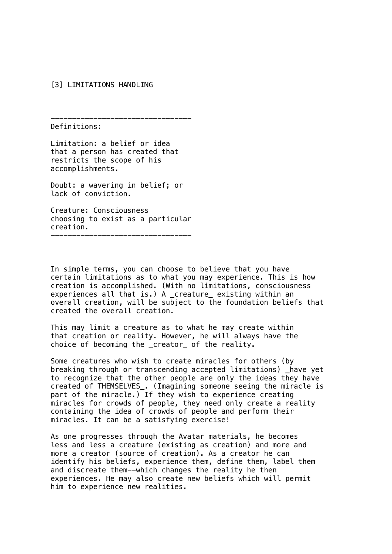## [3] LIMITATIONS HANDLING

Definitions:

Limitation: a belief or idea that a person has created that restricts the scope of his accomplishments.

---------------------------------

Doubt: a wavering in belief; or lack of conviction.

Creature: Consciousness choosing to exist as a particular creation. ---------------------------------

In simple terms, you can choose to believe that you have certain limitations as to what you may experience. This is how creation is accomplished. (With no limitations, consciousness experiences all that is.) A \_creature\_ existing within an overall creation, will be subject to the foundation beliefs that created the overall creation.

This may limit a creature as to what he may create within that creation or reality. However, he will always have the choice of becoming the \_creator\_ of the reality.

Some creatures who wish to create miracles for others (by breaking through or transcending accepted limitations) \_have yet to recognize that the other people are only the ideas they have created of THEMSELVES\_. (Imagining someone seeing the miracle is part of the miracle.) If they wish to experience creating miracles for crowds of people, they need only create a reality containing the idea of crowds of people and perform their miracles. It can be a satisfying exercise!

As one progresses through the Avatar materials, he becomes less and less a creature (existing as creation) and more and more a creator (source of creation). As a creator he can identify his beliefs, experience them, define them, label them and discreate them--which changes the reality he then experiences. He may also create new beliefs which will permit him to experience new realities.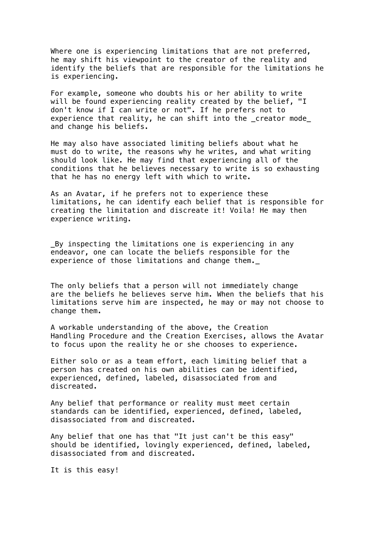Where one is experiencing limitations that are not preferred, he may shift his viewpoint to the creator of the reality and identify the beliefs that are responsible for the limitations he is experiencing.

For example, someone who doubts his or her ability to write will be found experiencing reality created by the belief, "I don't know if I can write or not". If he prefers not to experience that reality, he can shift into the \_creator mode\_ and change his beliefs.

He may also have associated limiting beliefs about what he must do to write, the reasons why he writes, and what writing should look like. He may find that experiencing all of the conditions that he believes necessary to write is so exhausting that he has no energy left with which to write.

As an Avatar, if he prefers not to experience these limitations, he can identify each belief that is responsible for creating the limitation and discreate it! Voila! He may then experience writing.

\_By inspecting the limitations one is experiencing in any endeavor, one can locate the beliefs responsible for the experience of those limitations and change them.

The only beliefs that a person will not immediately change are the beliefs he believes serve him. When the beliefs that his limitations serve him are inspected, he may or may not choose to change them.

A workable understanding of the above, the Creation Handling Procedure and the Creation Exercises, allows the Avatar to focus upon the reality he or she chooses to experience.

Either solo or as a team effort, each limiting belief that a person has created on his own abilities can be identified, experienced, defined, labeled, disassociated from and discreated.

Any belief that performance or reality must meet certain standards can be identified, experienced, defined, labeled, disassociated from and discreated.

Any belief that one has that "It just can't be this easy" should be identified, lovingly experienced, defined, labeled, disassociated from and discreated.

It is this easy!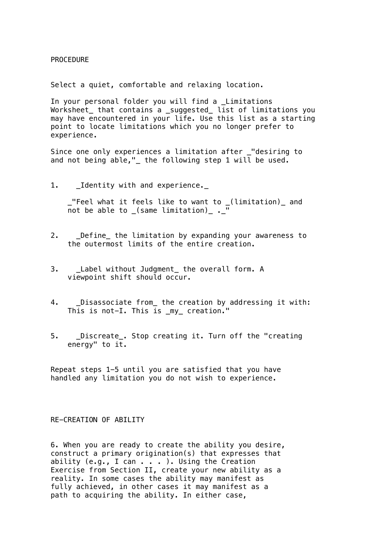PROCEDURE

Select a quiet, comfortable and relaxing location.

In your personal folder you will find a \_Limitations Worksheet\_ that contains a \_suggested\_ list of limitations you may have encountered in your life. Use this list as a starting point to locate limitations which you no longer prefer to experience.

Since one only experiences a limitation after \_"desiring to and not being able,"\_ the following step 1 will be used.

1. \_Identity with and experience.\_

 \_"Feel what it feels like to want to \_(limitation)\_ and not be able to \_(same limitation)\_ .\_

- 2. Define the limitation by expanding your awareness to the outermost limits of the entire creation.
- 3. Label without Judgment the overall form. A viewpoint shift should occur.
- 4. \_Disassociate from\_ the creation by addressing it with: This is not-I. This is my creation."
- 5. \_\_Discreate\_. Stop creating it. Turn off the "creating energy" to  $i\overline{t}$ .

Repeat steps 1-5 until you are satisfied that you have handled any limitation you do not wish to experience.

## RE-CREATION OF ABILITY

6. When you are ready to create the ability you desire, construct a primary origination(s) that expresses that ability (e.g., I can . . . ). Using the Creation Exercise from Section II, create your new ability as a reality. In some cases the ability may manifest as fully achieved, in other cases it may manifest as a path to acquiring the ability. In either case,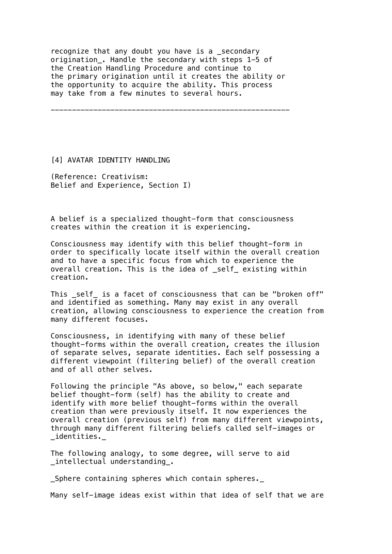recognize that any doubt you have is a \_secondary origination\_. Handle the secondary with steps 1-5 of the Creation Handling Procedure and continue to the primary origination until it creates the ability or the opportunity to acquire the ability. This process may take from a few minutes to several hours.

--------------------------------------------------------

[4] AVATAR IDENTITY HANDLING

(Reference: Creativism: Belief and Experience, Section I)

A belief is a specialized thought-form that consciousness creates within the creation it is experiencing.

Consciousness may identify with this belief thought-form in order to specifically locate itself within the overall creation and to have a specific focus from which to experience the overall creation. This is the idea of self existing within creation.

This self is a facet of consciousness that can be "broken off" and identified as something. Many may exist in any overall creation, allowing consciousness to experience the creation from many different focuses.

Consciousness, in identifying with many of these belief thought-forms within the overall creation, creates the illusion of separate selves, separate identities. Each self possessing a different viewpoint (filtering belief) of the overall creation and of all other selves.

Following the principle "As above, so below," each separate belief thought-form (self) has the ability to create and identify with more belief thought-forms within the overall creation than were previously itself. It now experiences the overall creation (previous self) from many different viewpoints, through many different filtering beliefs called self-images or \_identities.\_

The following analogy, to some degree, will serve to aid \_intellectual understanding\_.

\_Sphere containing spheres which contain spheres.\_

Many self-image ideas exist within that idea of self that we are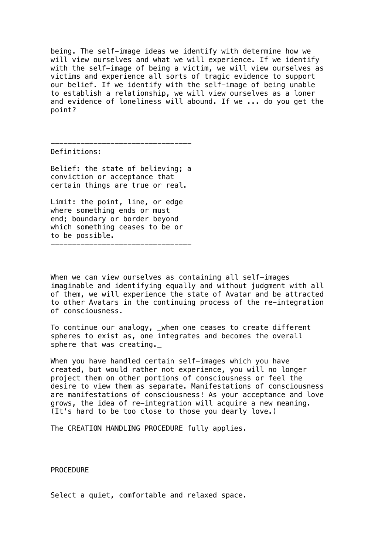being. The self-image ideas we identify with determine how we will view ourselves and what we will experience. If we identify with the self-image of being a victim, we will view ourselves as victims and experience all sorts of tragic evidence to support our belief. If we identify with the self-image of being unable to establish a relationship, we will view ourselves as a loner and evidence of loneliness will abound. If we ... do you get the point?

Definitions:

Belief: the state of believing; a conviction or acceptance that certain things are true or real.

---------------------------------

Limit: the point, line, or edge where something ends or must end; boundary or border beyond which something ceases to be or to be possible. ---------------------------------

When we can view ourselves as containing all self-images imaginable and identifying equally and without judgment with all of them, we will experience the state of Avatar and be attracted to other Avatars in the continuing process of the re-integration of consciousness.

To continue our analogy, \_when one ceases to create different spheres to exist as, one integrates and becomes the overall sphere that was creating.\_

When you have handled certain self-images which you have created, but would rather not experience, you will no longer project them on other portions of consciousness or feel the desire to view them as separate. Manifestations of consciousness are manifestations of consciousness! As your acceptance and love grows, the idea of re-integration will acquire a new meaning. (It's hard to be too close to those you dearly love.)

The CREATION HANDLING PROCEDURE fully applies.

PROCEDURE

Select a quiet, comfortable and relaxed space.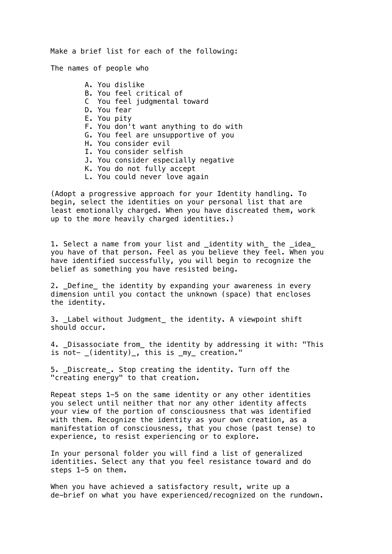Make a brief list for each of the following:

The names of people who

 A. You dislike B. You feel critical of C You feel judgmental toward D. You fear E. You pity F. You don't want anything to do with G. You feel are unsupportive of you H. You consider evil I. You consider selfish J. You consider especially negative K. You do not fully accept L. You could never love again

(Adopt a progressive approach for your Identity handling. To begin, select the identities on your personal list that are least emotionally charged. When you have discreated them, work up to the more heavily charged identities.)

1. Select a name from your list and \_identity with\_ the \_idea\_ you have of that person. Feel as you believe they feel. When you have identified successfully, you will begin to recognize the belief as something you have resisted being.

2. Define the identity by expanding your awareness in every dimension until you contact the unknown (space) that encloses the identity.

3. Label without Judgment the identity. A viewpoint shift should occur.

4. \_Disassociate from\_ the identity by addressing it with: "This is not- \_(identity)\_, this is \_my\_ creation."

5. \_Discreate\_. Stop creating the identity. Turn off the "creating energy" to that creation.

Repeat steps 1-5 on the same identity or any other identities you select until neither that nor any other identity affects your view of the portion of consciousness that was identified with them. Recognize the identity as your own creation, as a manifestation of consciousness, that you chose (past tense) to experience, to resist experiencing or to explore.

In your personal folder you will find a list of generalized identities. Select any that you feel resistance toward and do steps 1-5 on them.

When you have achieved a satisfactory result, write up a de-brief on what you have experienced/recognized on the rundown.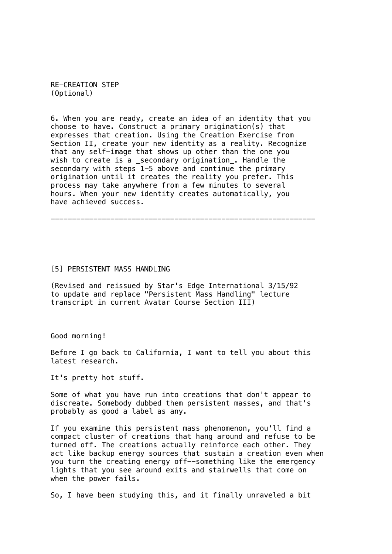RE-CREATION STEP (Optional)

6. When you are ready, create an idea of an identity that you choose to have. Construct a primary origination(s) that expresses that creation. Using the Creation Exercise from Section II, create your new identity as a reality. Recognize that any self-image that shows up other than the one you wish to create is a secondary origination. Handle the secondary with steps 1-5 above and continue the primary origination until it creates the reality you prefer. This process may take anywhere from a few minutes to several hours. When your new identity creates automatically, you have achieved success.

--------------------------------------------------------------

### [5] PERSISTENT MASS HANDLING

(Revised and reissued by Star's Edge International 3/15/92 to update and replace "Persistent Mass Handling" lecture transcript in current Avatar Course Section III)

Good morning!

Before I go back to California, I want to tell you about this latest research.

It's pretty hot stuff.

Some of what you have run into creations that don't appear to discreate. Somebody dubbed them persistent masses, and that's probably as good a label as any.

If you examine this persistent mass phenomenon, you'll find a compact cluster of creations that hang around and refuse to be turned off. The creations actually reinforce each other. They act like backup energy sources that sustain a creation even when you turn the creating energy off--something like the emergency lights that you see around exits and stairwells that come on when the power fails.

So, I have been studying this, and it finally unraveled a bit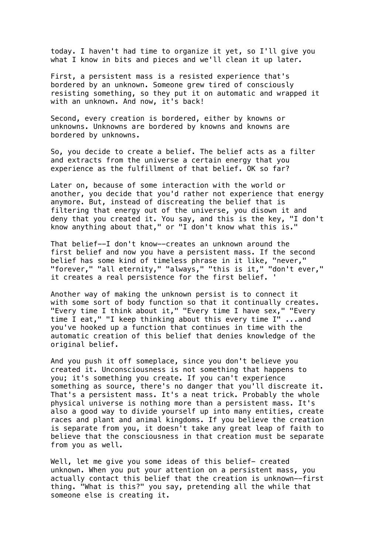today. I haven't had time to organize it yet, so I'll give you what I know in bits and pieces and we'll clean it up later.

First, a persistent mass is a resisted experience that's bordered by an unknown. Someone grew tired of consciously resisting something, so they put it on automatic and wrapped it with an unknown. And now, it's back!

Second, every creation is bordered, either by knowns or unknowns. Unknowns are bordered by knowns and knowns are bordered by unknowns.

So, you decide to create a belief. The belief acts as a filter and extracts from the universe a certain energy that you experience as the fulfillment of that belief. OK so far?

Later on, because of some interaction with the world or another, you decide that you'd rather not experience that energy anymore. But, instead of discreating the belief that is filtering that energy out of the universe, you disown it and deny that you created it. You say, and this is the key, "I don't know anything about that," or "I don't know what this is."

That belief--I don't know--creates an unknown around the first belief and now you have a persistent mass. If the second belief has some kind of timeless phrase in it like, "never," "forever," "all eternity," "always," "this is it," "don't ever," it creates a real persistence for the first belief. '

Another way of making the unknown persist is to connect it with some sort of body function so that it continually creates. "Every time I think about it," "Every time I have sex," "Every time I eat," "I keep thinking about this every time I" ...and you've hooked up a function that continues in time with the automatic creation of this belief that denies knowledge of the original belief.

And you push it off someplace, since you don't believe you created it. Unconsciousness is not something that happens to you; it's something you create. If you can't experience something as source, there's no danger that you'll discreate it. That's a persistent mass. It's a neat trick. Probably the whole physical universe is nothing more than a persistent mass. It's also a good way to divide yourself up into many entities, create races and plant and animal kingdoms. If you believe the creation is separate from you, it doesn't take any great leap of faith to believe that the consciousness in that creation must be separate from you as well.

Well, let me give you some ideas of this belief- created unknown. When you put your attention on a persistent mass, you actually contact this belief that the creation is unknown--first thing. "What is this?" you say, pretending all the while that someone else is creating it.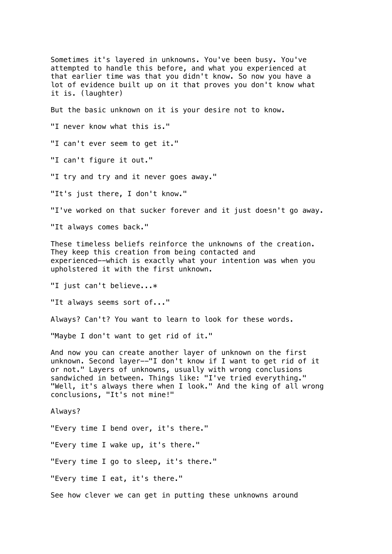Sometimes it's layered in unknowns. You've been busy. You've attempted to handle this before, and what you experienced at that earlier time was that you didn't know. So now you have a lot of evidence built up on it that proves you don't know what it is. (laughter) But the basic unknown on it is your desire not to know. "I never know what this is." "I can't ever seem to get it." "I can't figure it out." "I try and try and it never goes away." "It's just there, I don't know." "I've worked on that sucker forever and it just doesn't go away. "It always comes back." These timeless beliefs reinforce the unknowns of the creation. They keep this creation from being contacted and experienced--which is exactly what your intention was when you upholstered it with the first unknown. "I just can't believe...\* "It always seems sort of..." Always? Can't? You want to learn to look for these words. "Maybe I don't want to get rid of it." And now you can create another layer of unknown on the first unknown. Second layer--"I don't know if I want to get rid of it or not." Layers of unknowns, usually with wrong conclusions sandwiched in between. Things like: "I've tried everything." "Well, it's always there when I look." And the king of all wrong conclusions, "It's not mine!" Always? "Every time I bend over, it's there." "Every time I wake up, it's there." "Every time I go to sleep, it's there." "Every time I eat, it's there." See how clever we can get in putting these unknowns around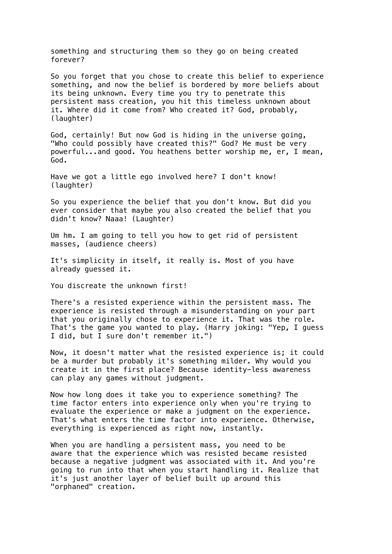something and structuring them so they go on being created forever?

So you forget that you chose to create this belief to experience something, and now the belief is bordered by more beliefs about its being unknown. Every time you try to penetrate this persistent mass creation, you hit this timeless unknown about it. Where did it come from? Who created it? God, probably, (laughter)

God, certainly! But now God is hiding in the universe going, "Who could possibly have created this?" God? He must be very powerful...and good. You heathens better worship me, er, I mean, God.

Have we got a little ego involved here? I don't know! (laughter)

So you experience the belief that you don't know. But did you ever consider that maybe you also created the belief that you didn't know? Naaa! (Laughter)

Um hm. I am going to tell you how to get rid of persistent masses, (audience cheers)

It's simplicity in itself, it really is. Most of you have already guessed it.

You discreate the unknown first!

There's a resisted experience within the persistent mass. The experience is resisted through a misunderstanding on your part that you originally chose to experience it. That was the role. That's the game you wanted to play. (Harry joking: "Yep, I guess I did, but I sure don't remember it.")

Now, it doesn't matter what the resisted experience is; it could be a murder but probably it's something milder. Why would you create it in the first place? Because identity-less awareness can play any games without judgment.

Now how long does it take you to experience something? The time factor enters into experience only when you're trying to evaluate the experience or make a judgment on the experience. That's what enters the time factor into experience. Otherwise, everything is experienced as right now, instantly.

When you are handling a persistent mass, you need to be aware that the experience which was resisted became resisted because a negative judgment was associated with it. And you're going to run into that when you start handling it. Realize that it's just another layer of belief built up around this "orphaned" creation.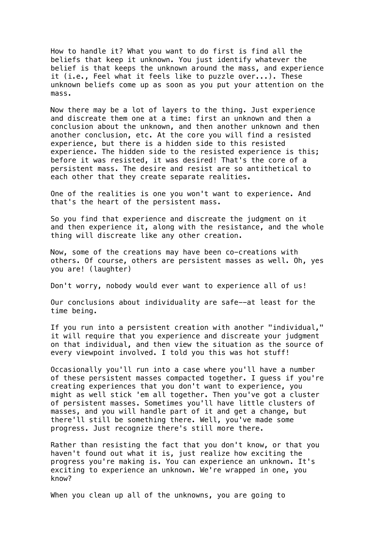How to handle it? What you want to do first is find all the beliefs that keep it unknown. You just identify whatever the belief is that keeps the unknown around the mass, and experience it (i.e., Feel what it feels like to puzzle over...). These unknown beliefs come up as soon as you put your attention on the mass.

Now there may be a lot of layers to the thing. Just experience and discreate them one at a time: first an unknown and then a conclusion about the unknown, and then another unknown and then another conclusion, etc. At the core you will find a resisted experience, but there is a hidden side to this resisted experience. The hidden side to the resisted experience is this; before it was resisted, it was desired! That's the core of a persistent mass. The desire and resist are so antithetical to each other that they create separate realities.

One of the realities is one you won't want to experience. And that's the heart of the persistent mass.

So you find that experience and discreate the judgment on it and then experience it, along with the resistance, and the whole thing will discreate like any other creation.

Now, some of the creations may have been co-creations with others. Of course, others are persistent masses as well. Oh, yes you are! (laughter)

Don't worry, nobody would ever want to experience all of us!

Our conclusions about individuality are safe--at least for the time being.

If you run into a persistent creation with another "individual," it will require that you experience and discreate your judgment on that individual, and then view the situation as the source of every viewpoint involved. I told you this was hot stuff!

Occasionally you'll run into a case where you'll have a number of these persistent masses compacted together. I guess if you're creating experiences that you don't want to experience, you might as well stick 'em all together. Then you've got a cluster of persistent masses. Sometimes you'll have little clusters of masses, and you will handle part of it and get a change, but there'll still be something there. Well, you've made some progress. Just recognize there's still more there.

Rather than resisting the fact that you don't know, or that you haven't found out what it is, just realize how exciting the progress you're making is. You can experience an unknown. It's exciting to experience an unknown. We're wrapped in one, you know?

When you clean up all of the unknowns, you are going to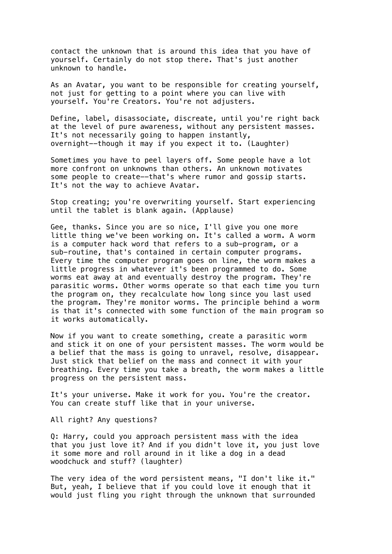contact the unknown that is around this idea that you have of yourself. Certainly do not stop there. That's just another unknown to handle.

As an Avatar, you want to be responsible for creating yourself, not just for getting to a point where you can live with yourself. You're Creators. You're not adjusters.

Define, label, disassociate, discreate, until you're right back at the level of pure awareness, without any persistent masses. It's not necessarily going to happen instantly, overnight--though it may if you expect it to. (Laughter)

Sometimes you have to peel layers off. Some people have a lot more confront on unknowns than others. An unknown motivates some people to create--that's where rumor and gossip starts. It's not the way to achieve Avatar.

Stop creating; you're overwriting yourself. Start experiencing until the tablet is blank again. (Applause)

Gee, thanks. Since you are so nice, I'll give you one more little thing we've been working on. It's called a worm. A worm is a computer hack word that refers to a sub-program, or a sub-routine, that's contained in certain computer programs. Every time the computer program goes on line, the worm makes a little progress in whatever it's been programmed to do. Some worms eat away at and eventually destroy the program. They're parasitic worms. Other worms operate so that each time you turn the program on, they recalculate how long since you last used the program. They're monitor worms. The principle behind a worm is that it's connected with some function of the main program so it works automatically.

Now if you want to create something, create a parasitic worm and stick it on one of your persistent masses. The worm would be a belief that the mass is going to unravel, resolve, disappear. Just stick that belief on the mass and connect it with your breathing. Every time you take a breath, the worm makes a little progress on the persistent mass.

It's your universe. Make it work for you. You're the creator. You can create stuff like that in your universe.

All right? Any questions?

Q: Harry, could you approach persistent mass with the idea that you just love it? And if you didn't love it, you just love it some more and roll around in it like a dog in a dead woodchuck and stuff? (laughter)

The very idea of the word persistent means, "I don't like it." But, yeah, I believe that if you could love it enough that it would just fling you right through the unknown that surrounded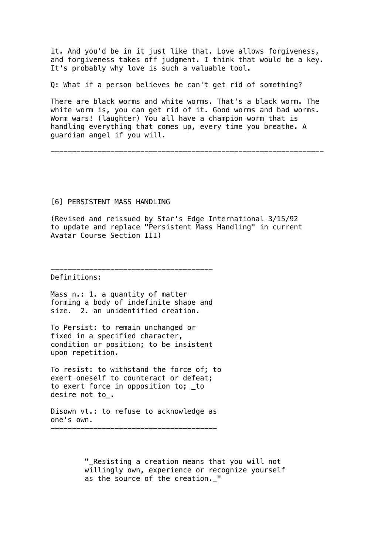it. And you'd be in it just like that. Love allows forgiveness, and forgiveness takes off judgment. I think that would be a key. It's probably why love is such a valuable tool.

Q: What if a person believes he can't get rid of something?

There are black worms and white worms. That's a black worm. The white worm is, you can get rid of it. Good worms and bad worms. Worm wars! (laughter) You all have a champion worm that is handling everything that comes up, every time you breathe. A guardian angel if you will.

----------------------------------------------------------------

## [6] PERSISTENT MASS HANDLING

(Revised and reissued by Star's Edge International 3/15/92 to update and replace "Persistent Mass Handling" in current Avatar Course Section III)

# Definitions:

Mass n.: 1. a quantity of matter forming a body of indefinite shape and size. 2. an unidentified creation.

--------------------------------------

To Persist: to remain unchanged or fixed in a specified character, condition or position; to be insistent upon repetition.

To resist: to withstand the force of; to exert oneself to counteract or defeat; to exert force in opposition to; \_to desire not to\_.

Disown vt.: to refuse to acknowledge as one's own. ---------------------------------------

> "\_Resisting a creation means that you will not willingly own, experience or recognize yourself as the source of the creation.\_"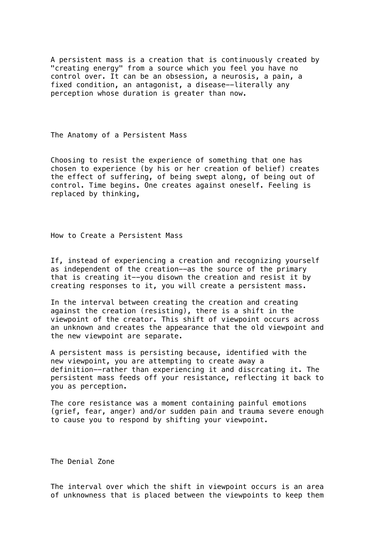A persistent mass is a creation that is continuously created by "creating energy" from a source which you feel you have no control over. It can be an obsession, a neurosis, a pain, a fixed condition, an antagonist, a disease--literally any perception whose duration is greater than now.

The Anatomy of a Persistent Mass

Choosing to resist the experience of something that one has chosen to experience (by his or her creation of belief) creates the effect of suffering, of being swept along, of being out of control. Time begins. One creates against oneself. Feeling is replaced by thinking,

How to Create a Persistent Mass

If, instead of experiencing a creation and recognizing yourself as independent of the creation--as the source of the primary that is creating it--you disown the creation and resist it by creating responses to it, you will create a persistent mass.

In the interval between creating the creation and creating against the creation (resisting), there is a shift in the viewpoint of the creator. This shift of viewpoint occurs across an unknown and creates the appearance that the old viewpoint and the new viewpoint are separate.

A persistent mass is persisting because, identified with the new viewpoint, you are attempting to create away a definition--rather than experiencing it and discrcating it. The persistent mass feeds off your resistance, reflecting it back to you as perception.

The core resistance was a moment containing painful emotions (grief, fear, anger) and/or sudden pain and trauma severe enough to cause you to respond by shifting your viewpoint.

The Denial Zone

The interval over which the shift in viewpoint occurs is an area of unknowness that is placed between the viewpoints to keep them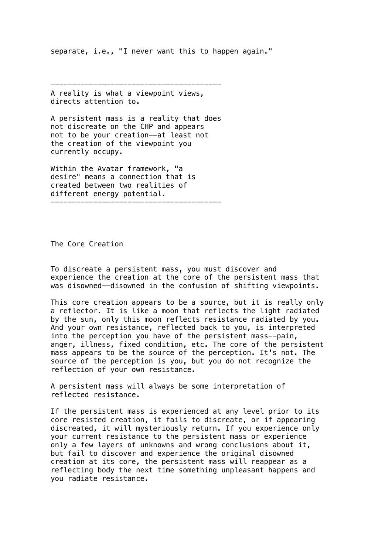separate, i.e., "I never want this to happen again."

---------------------------------------- A reality is what a viewpoint views, directs attention to.

A persistent mass is a reality that does not discreate on the CHP and appears not to be your creation--at least not the creation of the viewpoint you currently occupy.

Within the Avatar framework, "a desire" means a connection that is created between two realities of different energy potential. ----------------------------------------

The Core Creation

To discreate a persistent mass, you must discover and experience the creation at the core of the persistent mass that was disowned--disowned in the confusion of shifting viewpoints.

This core creation appears to be a source, but it is really only a reflector. It is like a moon that reflects the light radiated by the sun, only this moon reflects resistance radiated by you. And your own resistance, reflected back to you, is interpreted into the perception you have of the persistent mass--pain, anger, illness, fixed condition, etc. The core of the persistent mass appears to be the source of the perception. It's not. The source of the perception is you, but you do not recognize the reflection of your own resistance.

A persistent mass will always be some interpretation of reflected resistance.

If the persistent mass is experienced at any level prior to its core resisted creation, it fails to discreate, or if appearing discreated, it will mysteriously return. If you experience only your current resistance to the persistent mass or experience only a few layers of unknowns and wrong conclusions about it, but fail to discover and experience the original disowned creation at its core, the persistent mass will reappear as a reflecting body the next time something unpleasant happens and you radiate resistance.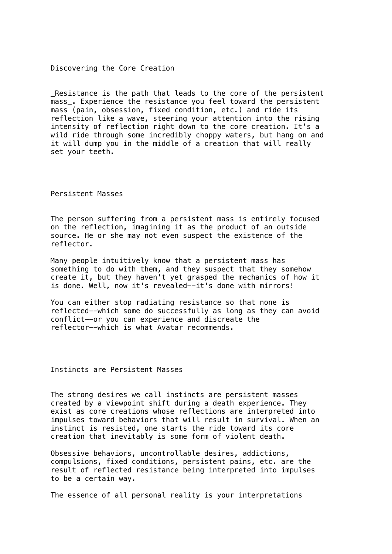Discovering the Core Creation

Resistance is the path that leads to the core of the persistent mass. Experience the resistance you feel toward the persistent mass (pain, obsession, fixed condition, etc.) and ride its reflection like a wave, steering your attention into the rising intensity of reflection right down to the core creation. It's a wild ride through some incredibly choppy waters, but hang on and it will dump you in the middle of a creation that will really set your teeth.

Persistent Masses

The person suffering from a persistent mass is entirely focused on the reflection, imagining it as the product of an outside source. He or she may not even suspect the existence of the reflector.

Many people intuitively know that a persistent mass has something to do with them, and they suspect that they somehow create it, but they haven't yet grasped the mechanics of how it is done. Well, now it's revealed--it's done with mirrors!

You can either stop radiating resistance so that none is reflected--which some do successfully as long as they can avoid conflict--or you can experience and discreate the reflector--which is what Avatar recommends.

Instincts are Persistent Masses

The strong desires we call instincts are persistent masses created by a viewpoint shift during a death experience. They exist as core creations whose reflections are interpreted into impulses toward behaviors that will result in survival. When an instinct is resisted, one starts the ride toward its core creation that inevitably is some form of violent death.

Obsessive behaviors, uncontrollable desires, addictions, compulsions, fixed conditions, persistent pains, etc. are the result of reflected resistance being interpreted into impulses to be a certain way.

The essence of all personal reality is your interpretations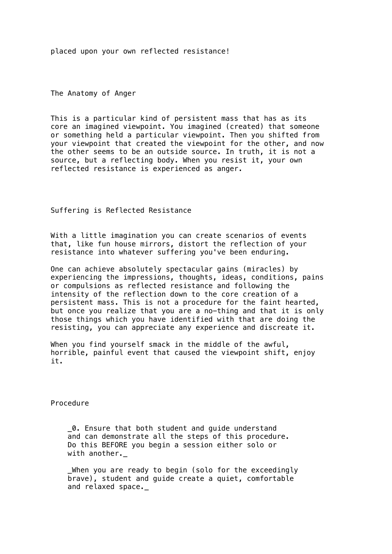placed upon your own reflected resistance!

The Anatomy of Anger

This is a particular kind of persistent mass that has as its core an imagined viewpoint. You imagined (created) that someone or something held a particular viewpoint. Then you shifted from your viewpoint that created the viewpoint for the other, and now the other seems to be an outside source. In truth, it is not a source, but a reflecting body. When you resist it, your own reflected resistance is experienced as anger.

Suffering is Reflected Resistance

With a little imagination you can create scenarios of events that, like fun house mirrors, distort the reflection of your resistance into whatever suffering you've been enduring.

One can achieve absolutely spectacular gains (miracles) by experiencing the impressions, thoughts, ideas, conditions, pains or compulsions as reflected resistance and following the intensity of the reflection down to the core creation of a persistent mass. This is not a procedure for the faint hearted, but once you realize that you are a no-thing and that it is only those things which you have identified with that are doing the resisting, you can appreciate any experience and discreate it.

When you find yourself smack in the middle of the awful, horrible, painful event that caused the viewpoint shift, enjoy it.

Procedure

 \_0. Ensure that both student and guide understand and can demonstrate all the steps of this procedure. Do this BEFORE you begin a session either solo or with another.\_

 \_When you are ready to begin (solo for the exceedingly brave), student and guide create a quiet, comfortable and relaxed space.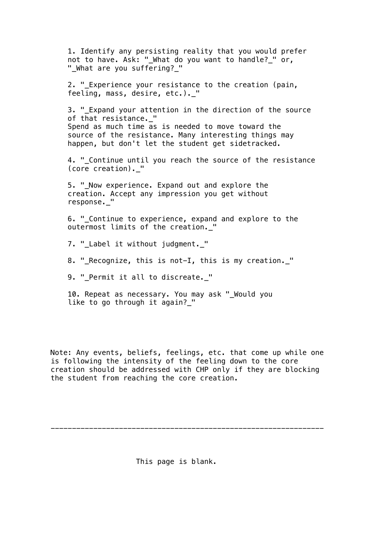1. Identify any persisting reality that you would prefer not to have. Ask: "\_What do you want to handle?\_" or, "\_What are you suffering?\_" 2. "\_Experience your resistance to the creation (pain, feeling, mass, desire, etc.).\_" 3. "\_Expand your attention in the direction of the source of that resistance.\_" Spend as much time as is needed to move toward the source of the resistance. Many interesting things may happen, but don't let the student get sidetracked. 4. "\_Continue until you reach the source of the resistance (core creation).\_" 5. " Now experience. Expand out and explore the creation. Accept any impression you get without response.\_" 6. "\_Continue to experience, expand and explore to the outermost limits of the creation. " 7. "\_Label it without judgment.\_" 8. " Recognize, this is not-I, this is my creation. " 9. " Permit it all to discreate. "

 10. Repeat as necessary. You may ask "\_Would you like to go through it again? "

Note: Any events, beliefs, feelings, etc. that come up while one is following the intensity of the feeling down to the core creation should be addressed with CHP only if they are blocking the student from reaching the core creation.

----------------------------------------------------------------

This page is blank.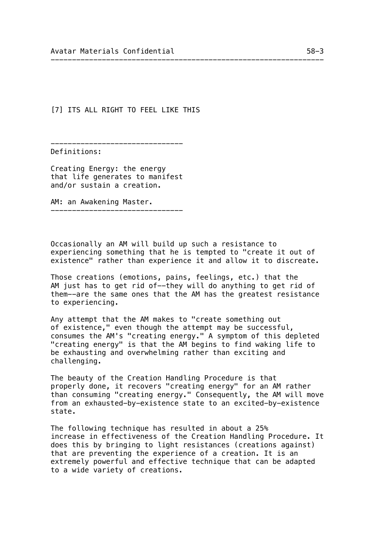[7] ITS ALL RIGHT TO FEEL LIKE THIS

Definitions:

Creating Energy: the energy that life generates to manifest and/or sustain a creation.

-------------------------------

AM: an Awakening Master.

-------------------------------

Occasionally an AM will build up such a resistance to experiencing something that he is tempted to "create it out of existence" rather than experience it and allow it to discreate.

----------------------------------------------------------------

Those creations (emotions, pains, feelings, etc.) that the AM just has to get rid of--they will do anything to get rid of them--are the same ones that the AM has the greatest resistance to experiencing.

Any attempt that the AM makes to "create something out of existence," even though the attempt may be successful, consumes the AM's "creating energy." A symptom of this depleted "creating energy" is that the AM begins to find waking life to be exhausting and overwhelming rather than exciting and challenging.

The beauty of the Creation Handling Procedure is that properly done, it recovers "creating energy" for an AM rather than consuming "creating energy." Consequently, the AM will move from an exhausted-by-existence state to an excited-by-existence state.

The following technique has resulted in about a 25% increase in effectiveness of the Creation Handling Procedure. It does this by bringing to light resistances (creations against) that are preventing the experience of a creation. It is an extremely powerful and effective technique that can be adapted to a wide variety of creations.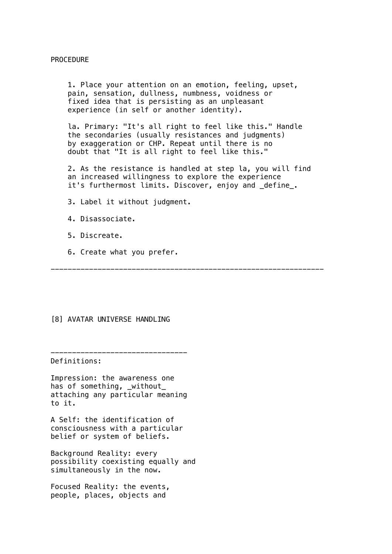#### PROCEDURE

 1. Place your attention on an emotion, feeling, upset, pain, sensation, dullness, numbness, voidness or fixed idea that is persisting as an unpleasant experience (in self or another identity).

 la. Primary: "It's all right to feel like this." Handle the secondaries (usually resistances and judgments) by exaggeration or CHP. Repeat until there is no doubt that "It is all right to feel like this."

 2. As the resistance is handled at step la, you will find an increased willingness to explore the experience it's furthermost limits. Discover, enjoy and \_define\_.

3. Label it without judgment.

4. Disassociate.

- 5. Discreate.
- 6. Create what you prefer.

----------------------------------------------------------------

#### [8] AVATAR UNIVERSE HANDLING

Definitions:

Impression: the awareness one has of something, \_without\_ attaching any particular meaning to it.

--------------------------------

A Self: the identification of consciousness with a particular belief or system of beliefs.

Background Reality: every possibility coexisting equally and simultaneously in the now.

Focused Reality: the events, people, places, objects and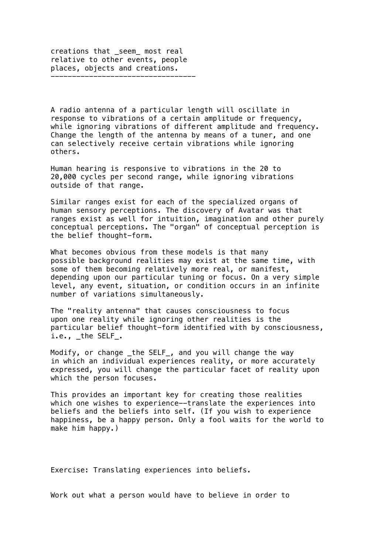creations that \_seem\_ most real relative to other events, people places, objects and creations. ----------------------------------

A radio antenna of a particular length will oscillate in response to vibrations of a certain amplitude or frequency, while ignoring vibrations of different amplitude and frequency. Change the length of the antenna by means of a tuner, and one can selectively receive certain vibrations while ignoring others.

Human hearing is responsive to vibrations in the 20 to 20,000 cycles per second range, while ignoring vibrations outside of that range.

Similar ranges exist for each of the specialized organs of human sensory perceptions. The discovery of Avatar was that ranges exist as well for intuition, imagination and other purely conceptual perceptions. The "organ" of conceptual perception is the belief thought-form.

What becomes obvious from these models is that many possible background realities may exist at the same time, with some of them becoming relatively more real, or manifest, depending upon our particular tuning or focus. On a very simple level, any event, situation, or condition occurs in an infinite number of variations simultaneously.

The "reality antenna" that causes consciousness to focus upon one reality while ignoring other realities is the particular belief thought-form identified with by consciousness, i.e., \_the SELF\_.

Modify, or change \_the SELF\_, and you will change the way in which an individual experiences reality, or more accurately expressed, you will change the particular facet of reality upon which the person focuses.

This provides an important key for creating those realities which one wishes to experience--translate the experiences into beliefs and the beliefs into self. (If you wish to experience happiness, be a happy person. Only a fool waits for the world to make him happy.)

Exercise: Translating experiences into beliefs.

Work out what a person would have to believe in order to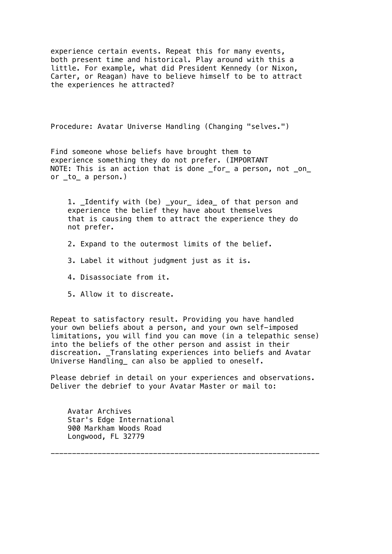experience certain events. Repeat this for many events, both present time and historical. Play around with this a little. For example, what did President Kennedy (or Nixon, Carter, or Reagan) have to believe himself to be to attract the experiences he attracted?

Procedure: Avatar Universe Handling (Changing "selves.")

Find someone whose beliefs have brought them to experience something they do not prefer. (IMPORTANT NOTE: This is an action that is done \_for\_ a person, not \_on\_ or \_to\_ a person.)

 1. \_Identify with (be) \_your\_ idea\_ of that person and experience the belief they have about themselves that is causing them to attract the experience they do not prefer.

- 2. Expand to the outermost limits of the belief.
- 3. Label it without judgment just as it is.
- 4. Disassociate from it.
- 5. Allow it to discreate.

Repeat to satisfactory result. Providing you have handled your own beliefs about a person, and your own self-imposed limitations, you will find you can move (in a telepathic sense) into the beliefs of the other person and assist in their discreation. Translating experiences into beliefs and Avatar Universe Handling\_ can also be applied to oneself.

Please debrief in detail on your experiences and observations. Deliver the debrief to your Avatar Master or mail to:

---------------------------------------------------------------

 Avatar Archives Star's Edge International 900 Markham Woods Road Longwood, FL 32779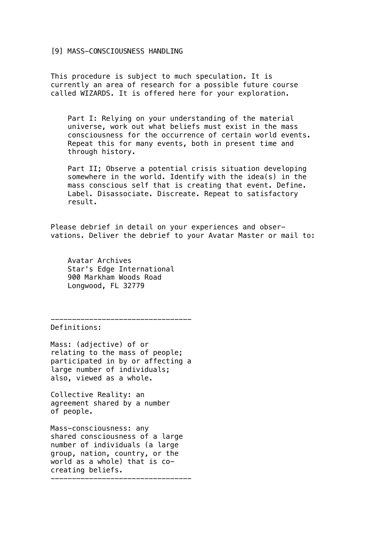#### [9] MASS-CONSCIOUSNESS HANDLING

This procedure is subject to much speculation. It is currently an area of research for a possible future course called WIZARDS. It is offered here for your exploration.

 Part I: Relying on your understanding of the material universe, work out what beliefs must exist in the mass consciousness for the occurrence of certain world events. Repeat this for many events, both in present time and through history.

 Part II; Observe a potential crisis situation developing somewhere in the world. Identify with the idea(s) in the mass conscious self that is creating that event. Define. Label. Disassociate. Discreate. Repeat to satisfactory result.

Please debrief in detail on your experiences and observations. Deliver the debrief to your Avatar Master or mail to:

 Avatar Archives Star's Edge International 900 Markham Woods Road Longwood, FL 32779

---------------------------------

Definitions:

Mass: (adjective) of or relating to the mass of people; participated in by or affecting a large number of individuals; also, viewed as a whole.

Collective Reality: an agreement shared by a number of people.

Mass-consciousness: any shared consciousness of a large number of individuals (a large group, nation, country, or the world as a whole) that is cocreating beliefs. ---------------------------------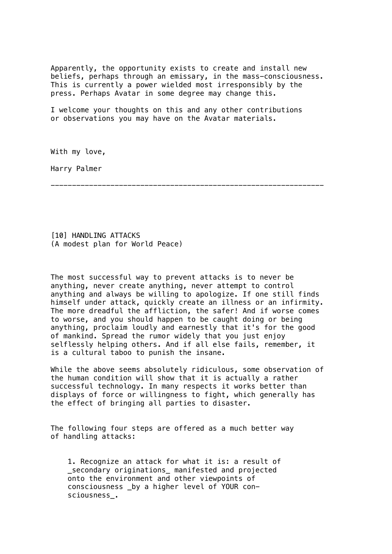Apparently, the opportunity exists to create and install new beliefs, perhaps through an emissary, in the mass-consciousness. This is currently a power wielded most irresponsibly by the press. Perhaps Avatar in some degree may change this.

I welcome your thoughts on this and any other contributions or observations you may have on the Avatar materials.

With my love,

Harry Palmer

----------------------------------------------------------------

[10] HANDLING ATTACKS (A modest plan for World Peace)

The most successful way to prevent attacks is to never be anything, never create anything, never attempt to control anything and always be willing to apologize. If one still finds himself under attack, quickly create an illness or an infirmity. The more dreadful the affliction, the safer! And if worse comes to worse, and you should happen to be caught doing or being anything, proclaim loudly and earnestly that it's for the good of mankind. Spread the rumor widely that you just enjoy selflessly helping others. And if all else fails, remember, it is a cultural taboo to punish the insane.

While the above seems absolutely ridiculous, some observation of the human condition will show that it is actually a rather successful technology. In many respects it works better than displays of force or willingness to fight, which generally has the effect of bringing all parties to disaster.

The following four steps are offered as a much better way of handling attacks:

 1. Recognize an attack for what it is: a result of \_secondary originations\_ manifested and projected onto the environment and other viewpoints of consciousness \_by a higher level of YOUR con sciousness\_.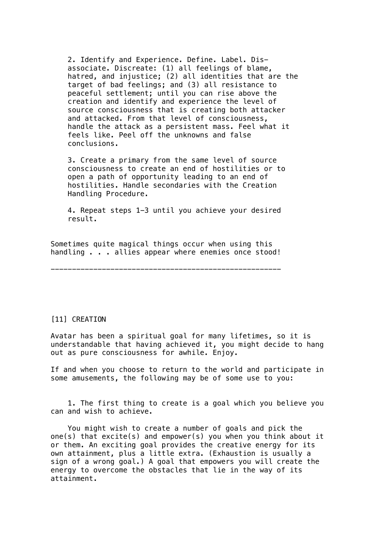2. Identify and Experience. Define. Label. Dis associate. Discreate: (1) all feelings of blame, hatred, and injustice; (2) all identities that are the target of bad feelings; and (3) all resistance to peaceful settlement; until you can rise above the creation and identify and experience the level of source consciousness that is creating both attacker and attacked. From that level of consciousness, handle the attack as a persistent mass. Feel what it feels like. Peel off the unknowns and false conclusions.

 3. Create a primary from the same level of source consciousness to create an end of hostilities or to open a path of opportunity leading to an end of hostilities. Handle secondaries with the Creation Handling Procedure.

 4. Repeat steps 1-3 until you achieve your desired result.

Sometimes quite magical things occur when using this handling . . . allies appear where enemies once stood!

------------------------------------------------------

## [11] CREATION

Avatar has been a spiritual goal for many lifetimes, so it is understandable that having achieved it, you might decide to hang out as pure consciousness for awhile. Enjoy.

If and when you choose to return to the world and participate in some amusements, the following may be of some use to you:

 1. The first thing to create is a goal which you believe you can and wish to achieve.

 You might wish to create a number of goals and pick the one(s) that excite(s) and empower(s) you when you think about it or them. An exciting goal provides the creative energy for its own attainment, plus a little extra. (Exhaustion is usually a sign of a wrong goal.) A goal that empowers you will create the energy to overcome the obstacles that lie in the way of its attainment.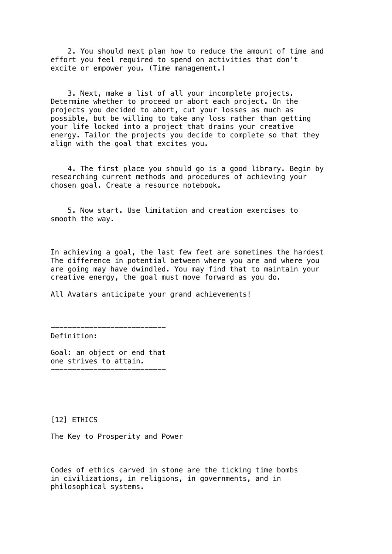2. You should next plan how to reduce the amount of time and effort you feel required to spend on activities that don't excite or empower you. (Time management.)

 3. Next, make a list of all your incomplete projects. Determine whether to proceed or abort each project. On the projects you decided to abort, cut your losses as much as possible, but be willing to take any loss rather than getting your life locked into a project that drains your creative energy. Tailor the projects you decide to complete so that they align with the goal that excites you.

 4. The first place you should go is a good library. Begin by researching current methods and procedures of achieving your chosen goal. Create a resource notebook.

 5. Now start. Use limitation and creation exercises to smooth the way.

In achieving a goal, the last few feet are sometimes the hardest The difference in potential between where you are and where you are going may have dwindled. You may find that to maintain your creative energy, the goal must move forward as you do.

All Avatars anticipate your grand achievements!

Definition:

Goal: an object or end that one strives to attain. ---------------------------

---------------------------

[12] ETHICS

The Key to Prosperity and Power

Codes of ethics carved in stone are the ticking time bombs in civilizations, in religions, in governments, and in philosophical systems.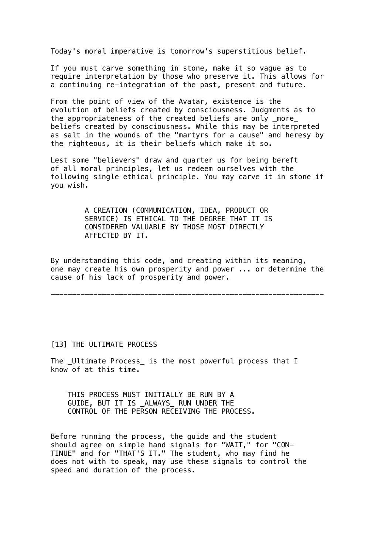Today's moral imperative is tomorrow's superstitious belief.

If you must carve something in stone, make it so vague as to require interpretation by those who preserve it. This allows for a continuing re-integration of the past, present and future.

From the point of view of the Avatar, existence is the evolution of beliefs created by consciousness. Judgments as to the appropriateness of the created beliefs are only \_more\_ beliefs created by consciousness. While this may be interpreted as salt in the wounds of the "martyrs for a cause" and heresy by the righteous, it is their beliefs which make it so.

Lest some "believers" draw and quarter us for being bereft of all moral principles, let us redeem ourselves with the following single ethical principle. You may carve it in stone if you wish.

> A CREATION (COMMUNICATION, IDEA, PRODUCT OR SERVICE) IS ETHICAL TO THE DEGREE THAT IT IS CONSIDERED VALUABLE BY THOSE MOST DIRECTLY AFFECTED BY IT.

By understanding this code, and creating within its meaning, one may create his own prosperity and power ... or determine the cause of his lack of prosperity and power.

----------------------------------------------------------------

[13] THE ULTIMATE PROCESS

The \_Ultimate Process\_ is the most powerful process that I know of at this time.

 THIS PROCESS MUST INITIALLY BE RUN BY A GUIDE, BUT IT IS \_ALWAYS\_ RUN UNDER THE CONTROL OF THE PERSON RECEIVING THE PROCESS.

Before running the process, the guide and the student should agree on simple hand signals for "WAIT," for "CON-TINUE" and for "THAT'S IT." The student, who may find he does not with to speak, may use these signals to control the speed and duration of the process.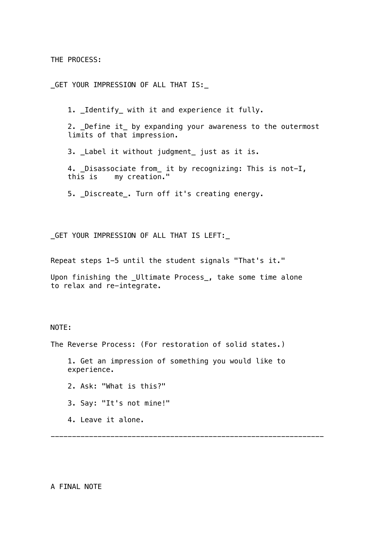THE PROCESS:

\_GET YOUR IMPRESSION OF ALL THAT IS:\_

1. \_Identify\_ with it and experience it fully.

 2. \_Define it\_ by expanding your awareness to the outermost limits of that impression.

3. \_Label it without judgment\_ just as it is.

 4. \_Disassociate from\_ it by recognizing: This is not-I, this is my creation."

5. \_Discreate\_. Turn off it's creating energy.

\_GET YOUR IMPRESSION OF ALL THAT IS LEFT:\_

Repeat steps 1-5 until the student signals "That's it."

Upon finishing the \_Ultimate Process\_, take some time alone to relax and re-integrate.

## NOTE:

The Reverse Process: (For restoration of solid states.)

 1. Get an impression of something you would like to experience.

----------------------------------------------------------------

- 2. Ask: "What is this?"
- 3. Say: "It's not mine!"
- 4. Leave it alone.

A FINAL NOTE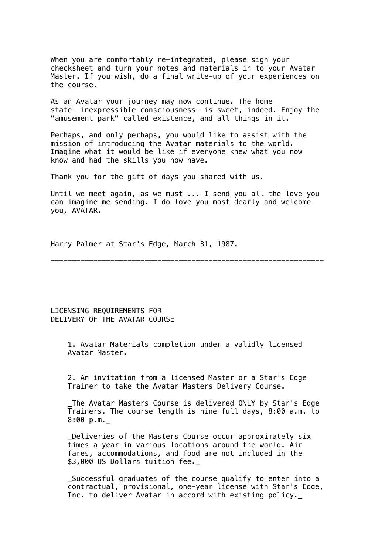When you are comfortably re-integrated, please sign your checksheet and turn your notes and materials in to your Avatar Master. If you wish, do a final write-up of your experiences on the course.

As an Avatar your journey may now continue. The home state--inexpressible consciousness--is sweet, indeed. Enjoy the "amusement park" called existence, and all things in it.

Perhaps, and only perhaps, you would like to assist with the mission of introducing the Avatar materials to the world. Imagine what it would be like if everyone knew what you now know and had the skills you now have.

Thank you for the gift of days you shared with us.

Until we meet again, as we must ... I send you all the love you can imagine me sending. I do love you most dearly and welcome you, AVATAR.

Harry Palmer at Star's Edge, March 31, 1987.

----------------------------------------------------------------

LICENSING REQUIREMENTS FOR DELIVERY OF THE AVATAR COURSE

> 1. Avatar Materials completion under a validly licensed Avatar Master.

 2. An invitation from a licensed Master or a Star's Edge Trainer to take the Avatar Masters Delivery Course.

 \_The Avatar Masters Course is delivered ONLY by Star's Edge Trainers. The course length is nine full days, 8:00 a.m. to 8:00 p.m.\_

Deliveries of the Masters Course occur approximately six times a year in various locations around the world. Air fares, accommodations, and food are not included in the \$3,000 US Dollars tuition fee.\_

 \_Successful graduates of the course qualify to enter into a contractual, provisional, one-year license with Star's Edge, Inc. to deliver Avatar in accord with existing policy.\_